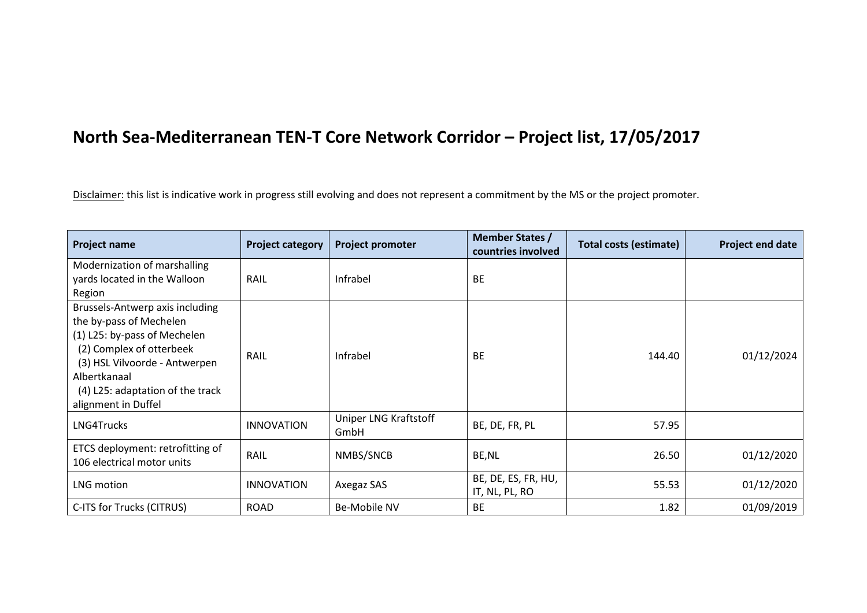## **North Sea-Mediterranean TEN-T Core Network Corridor – Project list, 17/05/2017**

Disclaimer: this list is indicative work in progress still evolving and does not represent a commitment by the MS or the project promoter.

| <b>Project name</b>                                                                                                                                                                                                                | <b>Project category</b> | <b>Project promoter</b>       | <b>Member States /</b><br>countries involved | <b>Total costs (estimate)</b> | Project end date |
|------------------------------------------------------------------------------------------------------------------------------------------------------------------------------------------------------------------------------------|-------------------------|-------------------------------|----------------------------------------------|-------------------------------|------------------|
| Modernization of marshalling<br>yards located in the Walloon<br>Region                                                                                                                                                             | RAIL                    | Infrabel                      | <b>BE</b>                                    |                               |                  |
| Brussels-Antwerp axis including<br>the by-pass of Mechelen<br>(1) L25: by-pass of Mechelen<br>(2) Complex of otterbeek<br>(3) HSL Vilvoorde - Antwerpen<br>Albertkanaal<br>(4) L25: adaptation of the track<br>alignment in Duffel | RAIL                    | Infrabel                      | <b>BE</b>                                    | 144.40                        | 01/12/2024       |
| LNG4Trucks                                                                                                                                                                                                                         | <b>INNOVATION</b>       | Uniper LNG Kraftstoff<br>GmbH | BE, DE, FR, PL                               | 57.95                         |                  |
| ETCS deployment: retrofitting of<br>106 electrical motor units                                                                                                                                                                     | RAIL                    | NMBS/SNCB                     | BE, NL                                       | 26.50                         | 01/12/2020       |
| LNG motion                                                                                                                                                                                                                         | <b>INNOVATION</b>       | Axegaz SAS                    | BE, DE, ES, FR, HU,<br>IT, NL, PL, RO        | 55.53                         | 01/12/2020       |
| C-ITS for Trucks (CITRUS)                                                                                                                                                                                                          | <b>ROAD</b>             | Be-Mobile NV                  | <b>BE</b>                                    | 1.82                          | 01/09/2019       |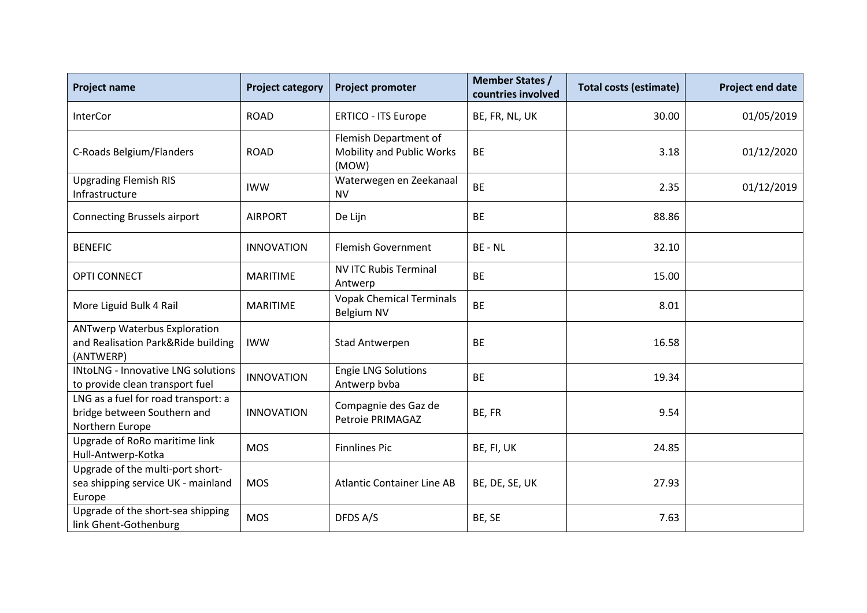| <b>Project name</b>                                                                    | <b>Project category</b> | <b>Project promoter</b>                                            | <b>Member States /</b><br>countries involved | <b>Total costs (estimate)</b> | <b>Project end date</b> |
|----------------------------------------------------------------------------------------|-------------------------|--------------------------------------------------------------------|----------------------------------------------|-------------------------------|-------------------------|
| <b>InterCor</b>                                                                        | <b>ROAD</b>             | <b>ERTICO - ITS Europe</b>                                         | BE, FR, NL, UK                               | 30.00                         | 01/05/2019              |
| C-Roads Belgium/Flanders                                                               | <b>ROAD</b>             | Flemish Department of<br><b>Mobility and Public Works</b><br>(MOW) | <b>BE</b>                                    | 3.18                          | 01/12/2020              |
| <b>Upgrading Flemish RIS</b><br>Infrastructure                                         | <b>IWW</b>              | Waterwegen en Zeekanaal<br><b>NV</b>                               | <b>BE</b>                                    | 2.35                          | 01/12/2019              |
| <b>Connecting Brussels airport</b>                                                     | <b>AIRPORT</b>          | De Lijn                                                            | <b>BE</b>                                    | 88.86                         |                         |
| <b>BENEFIC</b>                                                                         | <b>INNOVATION</b>       | <b>Flemish Government</b>                                          | BE - NL                                      | 32.10                         |                         |
| <b>OPTI CONNECT</b>                                                                    | <b>MARITIME</b>         | <b>NV ITC Rubis Terminal</b><br>Antwerp                            | <b>BE</b>                                    | 15.00                         |                         |
| More Liguid Bulk 4 Rail                                                                | <b>MARITIME</b>         | <b>Vopak Chemical Terminals</b><br><b>Belgium NV</b>               | <b>BE</b>                                    | 8.01                          |                         |
| <b>ANTwerp Waterbus Exploration</b><br>and Realisation Park&Ride building<br>(ANTWERP) | <b>IWW</b>              | <b>Stad Antwerpen</b>                                              | <b>BE</b>                                    | 16.58                         |                         |
| <b>INtoLNG - Innovative LNG solutions</b><br>to provide clean transport fuel           | <b>INNOVATION</b>       | <b>Engie LNG Solutions</b><br>Antwerp bvba                         | <b>BE</b>                                    | 19.34                         |                         |
| LNG as a fuel for road transport: a<br>bridge between Southern and<br>Northern Europe  | <b>INNOVATION</b>       | Compagnie des Gaz de<br>Petroie PRIMAGAZ                           | BE, FR                                       | 9.54                          |                         |
| Upgrade of RoRo maritime link<br>Hull-Antwerp-Kotka                                    | <b>MOS</b>              | <b>Finnlines Pic</b>                                               | BE, FI, UK                                   | 24.85                         |                         |
| Upgrade of the multi-port short-<br>sea shipping service UK - mainland<br>Europe       | <b>MOS</b>              | <b>Atlantic Container Line AB</b>                                  | BE, DE, SE, UK                               | 27.93                         |                         |
| Upgrade of the short-sea shipping<br>link Ghent-Gothenburg                             | <b>MOS</b>              | DFDS A/S                                                           | BE, SE                                       | 7.63                          |                         |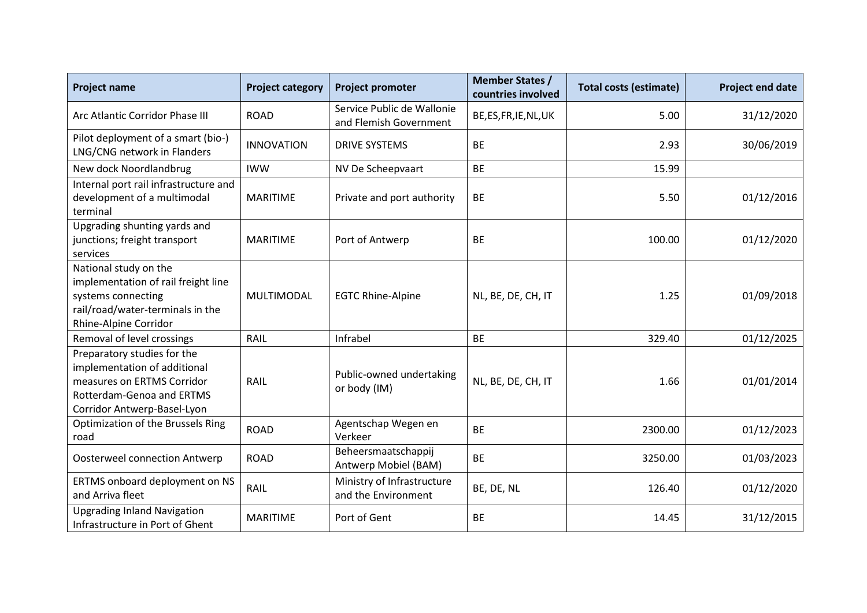| <b>Project name</b>                                                                                                                                   | <b>Project category</b> | <b>Project promoter</b>                              | <b>Member States /</b><br>countries involved | <b>Total costs (estimate)</b> | <b>Project end date</b> |
|-------------------------------------------------------------------------------------------------------------------------------------------------------|-------------------------|------------------------------------------------------|----------------------------------------------|-------------------------------|-------------------------|
| Arc Atlantic Corridor Phase III                                                                                                                       | <b>ROAD</b>             | Service Public de Wallonie<br>and Flemish Government | BE, ES, FR, IE, NL, UK                       | 5.00                          | 31/12/2020              |
| Pilot deployment of a smart (bio-)<br>LNG/CNG network in Flanders                                                                                     | <b>INNOVATION</b>       | <b>DRIVE SYSTEMS</b>                                 | <b>BE</b>                                    | 2.93                          | 30/06/2019              |
| New dock Noordlandbrug                                                                                                                                | <b>IWW</b>              | NV De Scheepvaart                                    | <b>BE</b>                                    | 15.99                         |                         |
| Internal port rail infrastructure and<br>development of a multimodal<br>terminal                                                                      | <b>MARITIME</b>         | Private and port authority                           | <b>BE</b>                                    | 5.50                          | 01/12/2016              |
| Upgrading shunting yards and<br>junctions; freight transport<br>services                                                                              | <b>MARITIME</b>         | Port of Antwerp                                      | <b>BE</b>                                    | 100.00                        | 01/12/2020              |
| National study on the<br>implementation of rail freight line<br>systems connecting<br>rail/road/water-terminals in the<br>Rhine-Alpine Corridor       | MULTIMODAL              | <b>EGTC Rhine-Alpine</b>                             | NL, BE, DE, CH, IT                           | 1.25                          | 01/09/2018              |
| Removal of level crossings                                                                                                                            | RAIL                    | Infrabel                                             | <b>BE</b>                                    | 329.40                        | 01/12/2025              |
| Preparatory studies for the<br>implementation of additional<br>measures on ERTMS Corridor<br>Rotterdam-Genoa and ERTMS<br>Corridor Antwerp-Basel-Lyon | RAIL                    | Public-owned undertaking<br>or body (IM)             | NL, BE, DE, CH, IT                           | 1.66                          | 01/01/2014              |
| Optimization of the Brussels Ring<br>road                                                                                                             | <b>ROAD</b>             | Agentschap Wegen en<br>Verkeer                       | <b>BE</b>                                    | 2300.00                       | 01/12/2023              |
| <b>Oosterweel connection Antwerp</b>                                                                                                                  | <b>ROAD</b>             | Beheersmaatschappij<br>Antwerp Mobiel (BAM)          | <b>BE</b>                                    | 3250.00                       | 01/03/2023              |
| ERTMS onboard deployment on NS<br>and Arriva fleet                                                                                                    | RAIL                    | Ministry of Infrastructure<br>and the Environment    | BE, DE, NL                                   | 126.40                        | 01/12/2020              |
| <b>Upgrading Inland Navigation</b><br>Infrastructure in Port of Ghent                                                                                 | <b>MARITIME</b>         | Port of Gent                                         | <b>BE</b>                                    | 14.45                         | 31/12/2015              |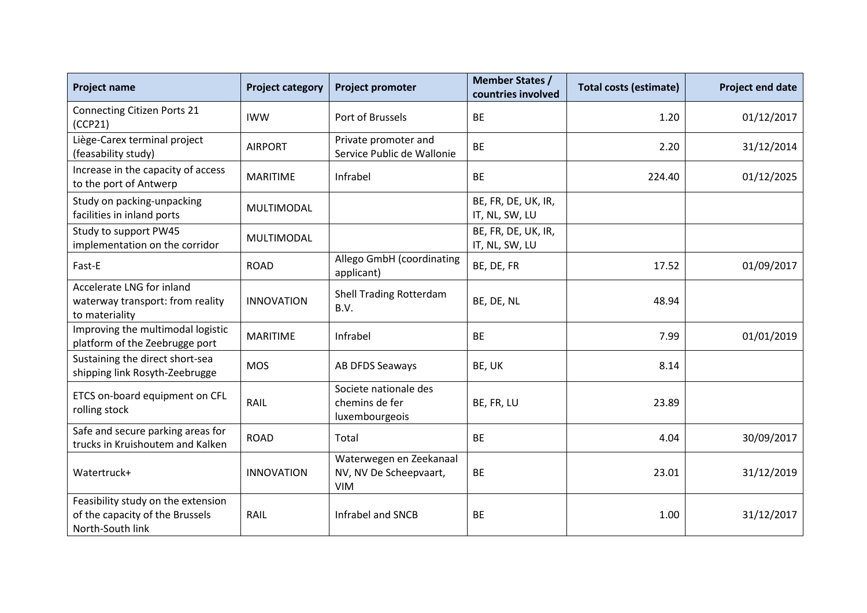| <b>Project name</b>                                                                       | <b>Project category</b> | <b>Project promoter</b>                                         | <b>Member States /</b><br>countries involved | <b>Total costs (estimate)</b> | Project end date |
|-------------------------------------------------------------------------------------------|-------------------------|-----------------------------------------------------------------|----------------------------------------------|-------------------------------|------------------|
| <b>Connecting Citizen Ports 21</b><br>(CCP21)                                             | <b>IWW</b>              | Port of Brussels                                                | <b>BE</b>                                    | 1.20                          | 01/12/2017       |
| Liège-Carex terminal project<br>(feasability study)                                       | <b>AIRPORT</b>          | Private promoter and<br>Service Public de Wallonie              | <b>BE</b>                                    | 2.20                          | 31/12/2014       |
| Increase in the capacity of access<br>to the port of Antwerp                              | <b>MARITIME</b>         | Infrabel                                                        | <b>BE</b>                                    | 224.40                        | 01/12/2025       |
| Study on packing-unpacking<br>facilities in inland ports                                  | MULTIMODAL              |                                                                 | BE, FR, DE, UK, IR,<br>IT, NL, SW, LU        |                               |                  |
| Study to support PW45<br>implementation on the corridor                                   | MULTIMODAL              |                                                                 | BE, FR, DE, UK, IR,<br>IT, NL, SW, LU        |                               |                  |
| Fast-E                                                                                    | <b>ROAD</b>             | Allego GmbH (coordinating<br>applicant)                         | BE, DE, FR                                   | 17.52                         | 01/09/2017       |
| Accelerate LNG for inland<br>waterway transport: from reality<br>to materiality           | <b>INNOVATION</b>       | <b>Shell Trading Rotterdam</b><br>B.V.                          | BE, DE, NL                                   | 48.94                         |                  |
| Improving the multimodal logistic<br>platform of the Zeebrugge port                       | <b>MARITIME</b>         | Infrabel                                                        | <b>BE</b>                                    | 7.99                          | 01/01/2019       |
| Sustaining the direct short-sea<br>shipping link Rosyth-Zeebrugge                         | <b>MOS</b>              | AB DFDS Seaways                                                 | BE, UK                                       | 8.14                          |                  |
| ETCS on-board equipment on CFL<br>rolling stock                                           | RAIL                    | Societe nationale des<br>chemins de fer<br>luxembourgeois       | BE, FR, LU                                   | 23.89                         |                  |
| Safe and secure parking areas for<br>trucks in Kruishoutem and Kalken                     | <b>ROAD</b>             | Total                                                           | <b>BE</b>                                    | 4.04                          | 30/09/2017       |
| Watertruck+                                                                               | <b>INNOVATION</b>       | Waterwegen en Zeekanaal<br>NV, NV De Scheepvaart,<br><b>VIM</b> | <b>BE</b>                                    | 23.01                         | 31/12/2019       |
| Feasibility study on the extension<br>of the capacity of the Brussels<br>North-South link | RAIL                    | Infrabel and SNCB                                               | <b>BE</b>                                    | 1.00                          | 31/12/2017       |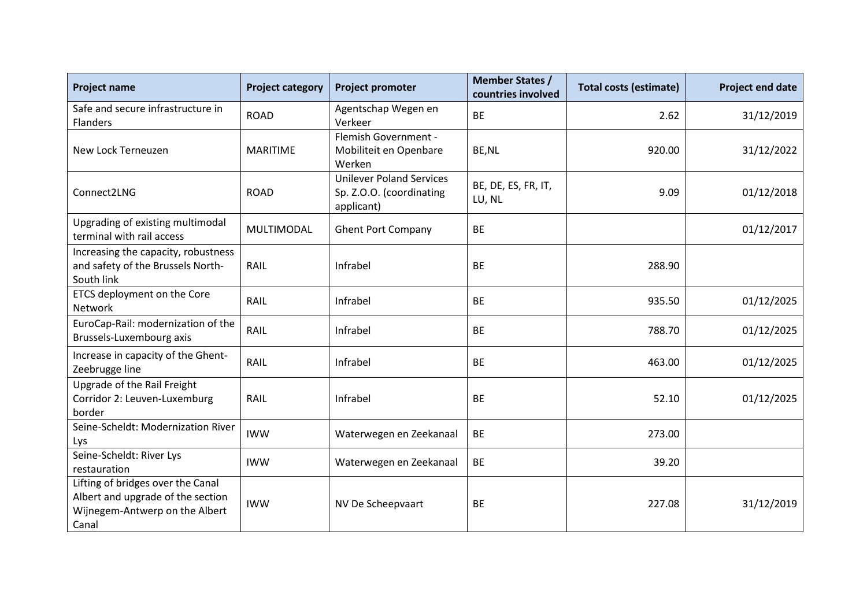| <b>Project name</b>                                                                                               | <b>Project category</b> | <b>Project promoter</b>                                                   | <b>Member States /</b><br>countries involved | <b>Total costs (estimate)</b> | <b>Project end date</b> |
|-------------------------------------------------------------------------------------------------------------------|-------------------------|---------------------------------------------------------------------------|----------------------------------------------|-------------------------------|-------------------------|
| Safe and secure infrastructure in<br>Flanders                                                                     | <b>ROAD</b>             | Agentschap Wegen en<br>Verkeer                                            | <b>BE</b>                                    | 2.62                          | 31/12/2019              |
| New Lock Terneuzen                                                                                                | <b>MARITIME</b>         | Flemish Government -<br>Mobiliteit en Openbare<br>Werken                  | BE, NL                                       | 920.00                        | 31/12/2022              |
| Connect2LNG                                                                                                       | <b>ROAD</b>             | <b>Unilever Poland Services</b><br>Sp. Z.O.O. (coordinating<br>applicant) | BE, DE, ES, FR, IT,<br>LU, NL                | 9.09                          | 01/12/2018              |
| Upgrading of existing multimodal<br>terminal with rail access                                                     | MULTIMODAL              | <b>Ghent Port Company</b>                                                 | <b>BE</b>                                    |                               | 01/12/2017              |
| Increasing the capacity, robustness<br>and safety of the Brussels North-<br>South link                            | RAIL                    | Infrabel                                                                  | <b>BE</b>                                    | 288.90                        |                         |
| ETCS deployment on the Core<br>Network                                                                            | <b>RAIL</b>             | Infrabel                                                                  | <b>BE</b>                                    | 935.50                        | 01/12/2025              |
| EuroCap-Rail: modernization of the<br>Brussels-Luxembourg axis                                                    | RAIL                    | Infrabel                                                                  | <b>BE</b>                                    | 788.70                        | 01/12/2025              |
| Increase in capacity of the Ghent-<br>Zeebrugge line                                                              | RAIL                    | Infrabel                                                                  | <b>BE</b>                                    | 463.00                        | 01/12/2025              |
| Upgrade of the Rail Freight<br>Corridor 2: Leuven-Luxemburg<br>border                                             | RAIL                    | Infrabel                                                                  | <b>BE</b>                                    | 52.10                         | 01/12/2025              |
| Seine-Scheldt: Modernization River<br>Lys                                                                         | <b>IWW</b>              | Waterwegen en Zeekanaal                                                   | <b>BE</b>                                    | 273.00                        |                         |
| Seine-Scheldt: River Lys<br>restauration                                                                          | <b>IWW</b>              | Waterwegen en Zeekanaal                                                   | <b>BE</b>                                    | 39.20                         |                         |
| Lifting of bridges over the Canal<br>Albert and upgrade of the section<br>Wijnegem-Antwerp on the Albert<br>Canal | <b>IWW</b>              | NV De Scheepvaart                                                         | <b>BE</b>                                    | 227.08                        | 31/12/2019              |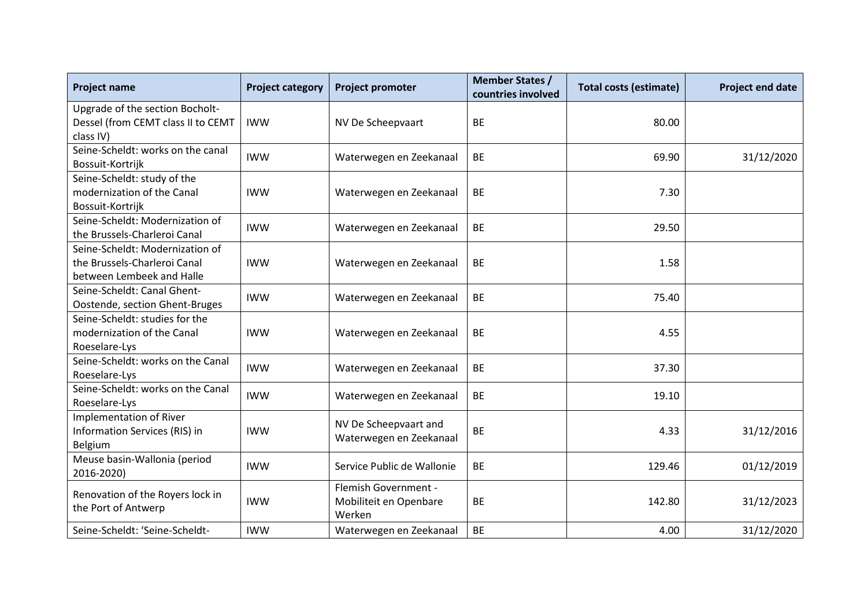| <b>Project name</b>                                                                          | <b>Project category</b> | <b>Project promoter</b>                                  | <b>Member States /</b><br>countries involved | <b>Total costs (estimate)</b> | Project end date |
|----------------------------------------------------------------------------------------------|-------------------------|----------------------------------------------------------|----------------------------------------------|-------------------------------|------------------|
| Upgrade of the section Bocholt-<br>Dessel (from CEMT class II to CEMT<br>class IV)           | <b>IWW</b>              | NV De Scheepvaart                                        | <b>BE</b>                                    | 80.00                         |                  |
| Seine-Scheldt: works on the canal<br>Bossuit-Kortrijk                                        | <b>IWW</b>              | Waterwegen en Zeekanaal                                  | <b>BE</b>                                    | 69.90                         | 31/12/2020       |
| Seine-Scheldt: study of the<br>modernization of the Canal<br>Bossuit-Kortrijk                | <b>IWW</b>              | Waterwegen en Zeekanaal                                  | <b>BE</b>                                    | 7.30                          |                  |
| Seine-Scheldt: Modernization of<br>the Brussels-Charleroi Canal                              | <b>IWW</b>              | Waterwegen en Zeekanaal                                  | <b>BE</b>                                    | 29.50                         |                  |
| Seine-Scheldt: Modernization of<br>the Brussels-Charleroi Canal<br>between Lembeek and Halle | <b>IWW</b>              | Waterwegen en Zeekanaal                                  | <b>BE</b>                                    | 1.58                          |                  |
| Seine-Scheldt: Canal Ghent-<br>Oostende, section Ghent-Bruges                                | <b>IWW</b>              | Waterwegen en Zeekanaal                                  | <b>BE</b>                                    | 75.40                         |                  |
| Seine-Scheldt: studies for the<br>modernization of the Canal<br>Roeselare-Lys                | <b>IWW</b>              | Waterwegen en Zeekanaal                                  | <b>BE</b>                                    | 4.55                          |                  |
| Seine-Scheldt: works on the Canal<br>Roeselare-Lys                                           | <b>IWW</b>              | Waterwegen en Zeekanaal                                  | <b>BE</b>                                    | 37.30                         |                  |
| Seine-Scheldt: works on the Canal<br>Roeselare-Lys                                           | <b>IWW</b>              | Waterwegen en Zeekanaal                                  | <b>BE</b>                                    | 19.10                         |                  |
| <b>Implementation of River</b><br>Information Services (RIS) in<br>Belgium                   | <b>IWW</b>              | NV De Scheepvaart and<br>Waterwegen en Zeekanaal         | <b>BE</b>                                    | 4.33                          | 31/12/2016       |
| Meuse basin-Wallonia (period<br>2016-2020)                                                   | <b>IWW</b>              | Service Public de Wallonie                               | <b>BE</b>                                    | 129.46                        | 01/12/2019       |
| Renovation of the Royers lock in<br>the Port of Antwerp                                      | <b>IWW</b>              | Flemish Government -<br>Mobiliteit en Openbare<br>Werken | <b>BE</b>                                    | 142.80                        | 31/12/2023       |
| Seine-Scheldt: 'Seine-Scheldt-                                                               | <b>IWW</b>              | Waterwegen en Zeekanaal                                  | <b>BE</b>                                    | 4.00                          | 31/12/2020       |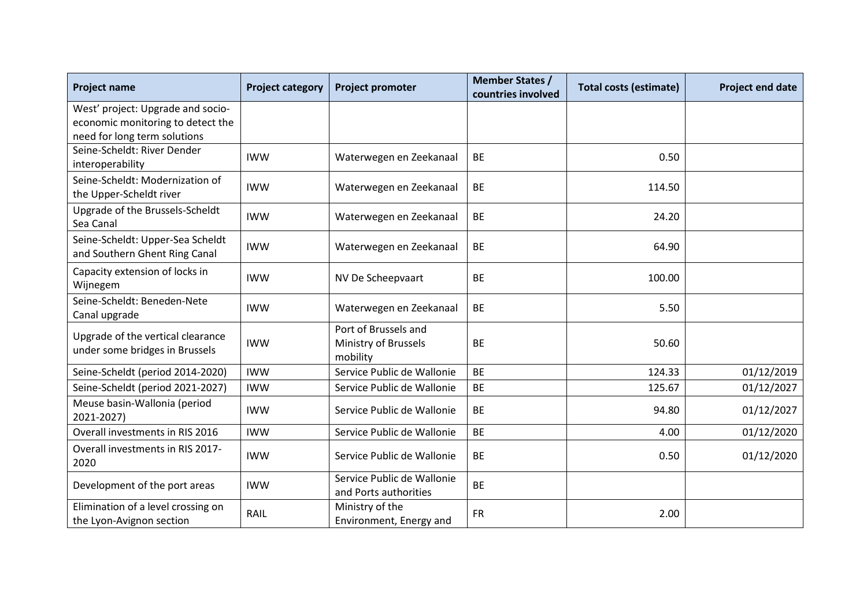| <b>Project name</b>                                                 | <b>Project category</b> | <b>Project promoter</b>                                  | <b>Member States /</b><br>countries involved | <b>Total costs (estimate)</b> | Project end date |
|---------------------------------------------------------------------|-------------------------|----------------------------------------------------------|----------------------------------------------|-------------------------------|------------------|
| West' project: Upgrade and socio-                                   |                         |                                                          |                                              |                               |                  |
| economic monitoring to detect the<br>need for long term solutions   |                         |                                                          |                                              |                               |                  |
| Seine-Scheldt: River Dender<br>interoperability                     | <b>IWW</b>              | Waterwegen en Zeekanaal                                  | <b>BE</b>                                    | 0.50                          |                  |
| Seine-Scheldt: Modernization of<br>the Upper-Scheldt river          | <b>IWW</b>              | Waterwegen en Zeekanaal                                  | <b>BE</b>                                    | 114.50                        |                  |
| Upgrade of the Brussels-Scheldt<br>Sea Canal                        | <b>IWW</b>              | Waterwegen en Zeekanaal                                  | <b>BE</b>                                    | 24.20                         |                  |
| Seine-Scheldt: Upper-Sea Scheldt<br>and Southern Ghent Ring Canal   | <b>IWW</b>              | Waterwegen en Zeekanaal                                  | <b>BE</b>                                    | 64.90                         |                  |
| Capacity extension of locks in<br>Wijnegem                          | <b>IWW</b>              | NV De Scheepvaart                                        | <b>BE</b>                                    | 100.00                        |                  |
| Seine-Scheldt: Beneden-Nete<br>Canal upgrade                        | <b>IWW</b>              | Waterwegen en Zeekanaal                                  | <b>BE</b>                                    | 5.50                          |                  |
| Upgrade of the vertical clearance<br>under some bridges in Brussels | <b>IWW</b>              | Port of Brussels and<br>Ministry of Brussels<br>mobility | <b>BE</b>                                    | 50.60                         |                  |
| Seine-Scheldt (period 2014-2020)                                    | <b>IWW</b>              | Service Public de Wallonie                               | <b>BE</b>                                    | 124.33                        | 01/12/2019       |
| Seine-Scheldt (period 2021-2027)                                    | <b>IWW</b>              | Service Public de Wallonie                               | <b>BE</b>                                    | 125.67                        | 01/12/2027       |
| Meuse basin-Wallonia (period<br>2021-2027)                          | <b>IWW</b>              | Service Public de Wallonie                               | <b>BE</b>                                    | 94.80                         | 01/12/2027       |
| Overall investments in RIS 2016                                     | <b>IWW</b>              | Service Public de Wallonie                               | <b>BE</b>                                    | 4.00                          | 01/12/2020       |
| Overall investments in RIS 2017-<br>2020                            | <b>IWW</b>              | Service Public de Wallonie                               | <b>BE</b>                                    | 0.50                          | 01/12/2020       |
| Development of the port areas                                       | <b>IWW</b>              | Service Public de Wallonie<br>and Ports authorities      | <b>BE</b>                                    |                               |                  |
| Elimination of a level crossing on<br>the Lyon-Avignon section      | RAIL                    | Ministry of the<br>Environment, Energy and               | <b>FR</b>                                    | 2.00                          |                  |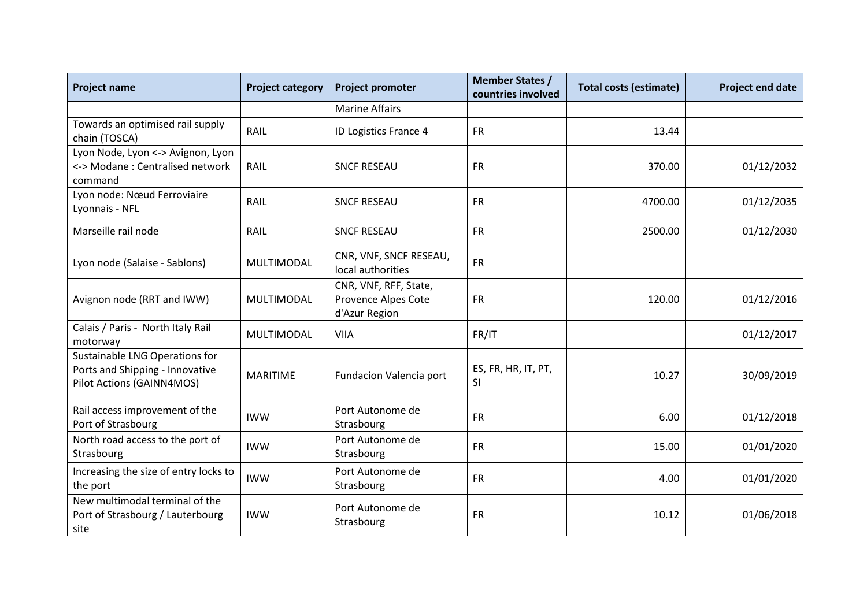| <b>Project name</b>                                                                            | <b>Project category</b> | <b>Project promoter</b>                                       | <b>Member States /</b><br>countries involved | <b>Total costs (estimate)</b> | <b>Project end date</b> |
|------------------------------------------------------------------------------------------------|-------------------------|---------------------------------------------------------------|----------------------------------------------|-------------------------------|-------------------------|
|                                                                                                |                         | <b>Marine Affairs</b>                                         |                                              |                               |                         |
| Towards an optimised rail supply<br>chain (TOSCA)                                              | RAIL                    | ID Logistics France 4                                         | <b>FR</b>                                    | 13.44                         |                         |
| Lyon Node, Lyon <-> Avignon, Lyon<br><-> Modane: Centralised network<br>command                | RAIL                    | <b>SNCF RESEAU</b>                                            | <b>FR</b>                                    | 370.00                        | 01/12/2032              |
| Lyon node: Nœud Ferroviaire<br>Lyonnais - NFL                                                  | RAIL                    | <b>SNCF RESEAU</b>                                            | <b>FR</b>                                    | 4700.00                       | 01/12/2035              |
| Marseille rail node                                                                            | RAIL                    | <b>SNCF RESEAU</b>                                            | <b>FR</b>                                    | 2500.00                       | 01/12/2030              |
| Lyon node (Salaise - Sablons)                                                                  | MULTIMODAL              | CNR, VNF, SNCF RESEAU,<br>local authorities                   | <b>FR</b>                                    |                               |                         |
| Avignon node (RRT and IWW)                                                                     | <b>MULTIMODAL</b>       | CNR, VNF, RFF, State,<br>Provence Alpes Cote<br>d'Azur Region | <b>FR</b>                                    | 120.00                        | 01/12/2016              |
| Calais / Paris - North Italy Rail<br>motorway                                                  | MULTIMODAL              | <b>VIIA</b>                                                   | FR/IT                                        |                               | 01/12/2017              |
| Sustainable LNG Operations for<br>Ports and Shipping - Innovative<br>Pilot Actions (GAINN4MOS) | <b>MARITIME</b>         | Fundacion Valencia port                                       | ES, FR, HR, IT, PT,<br>SI                    | 10.27                         | 30/09/2019              |
| Rail access improvement of the<br>Port of Strasbourg                                           | <b>IWW</b>              | Port Autonome de<br>Strasbourg                                | <b>FR</b>                                    | 6.00                          | 01/12/2018              |
| North road access to the port of<br>Strasbourg                                                 | <b>IWW</b>              | Port Autonome de<br>Strasbourg                                | <b>FR</b>                                    | 15.00                         | 01/01/2020              |
| Increasing the size of entry locks to<br>the port                                              | <b>IWW</b>              | Port Autonome de<br>Strasbourg                                | <b>FR</b>                                    | 4.00                          | 01/01/2020              |
| New multimodal terminal of the<br>Port of Strasbourg / Lauterbourg<br>site                     | <b>IWW</b>              | Port Autonome de<br>Strasbourg                                | <b>FR</b>                                    | 10.12                         | 01/06/2018              |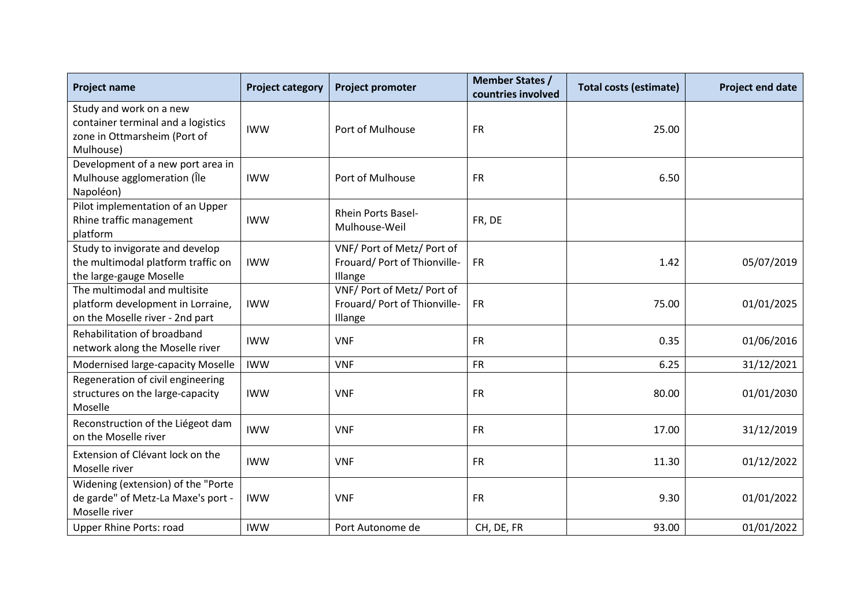| <b>Project name</b>                                                                                        | <b>Project category</b> | <b>Project promoter</b>                                               | <b>Member States /</b><br>countries involved | <b>Total costs (estimate)</b> | <b>Project end date</b> |
|------------------------------------------------------------------------------------------------------------|-------------------------|-----------------------------------------------------------------------|----------------------------------------------|-------------------------------|-------------------------|
| Study and work on a new<br>container terminal and a logistics<br>zone in Ottmarsheim (Port of<br>Mulhouse) | <b>IWW</b>              | Port of Mulhouse                                                      | <b>FR</b>                                    | 25.00                         |                         |
| Development of a new port area in<br>Mulhouse agglomeration (Île<br>Napoléon)                              | <b>IWW</b>              | Port of Mulhouse                                                      | <b>FR</b>                                    | 6.50                          |                         |
| Pilot implementation of an Upper<br>Rhine traffic management<br>platform                                   | <b>IWW</b>              | <b>Rhein Ports Basel-</b><br>Mulhouse-Weil                            | FR, DE                                       |                               |                         |
| Study to invigorate and develop<br>the multimodal platform traffic on<br>the large-gauge Moselle           | <b>IWW</b>              | VNF/ Port of Metz/ Port of<br>Frouard/ Port of Thionville-<br>Illange | <b>FR</b>                                    | 1.42                          | 05/07/2019              |
| The multimodal and multisite<br>platform development in Lorraine,<br>on the Moselle river - 2nd part       | <b>IWW</b>              | VNF/ Port of Metz/ Port of<br>Frouard/ Port of Thionville-<br>Illange | <b>FR</b>                                    | 75.00                         | 01/01/2025              |
| Rehabilitation of broadband<br>network along the Moselle river                                             | <b>IWW</b>              | <b>VNF</b>                                                            | <b>FR</b>                                    | 0.35                          | 01/06/2016              |
| Modernised large-capacity Moselle                                                                          | <b>IWW</b>              | <b>VNF</b>                                                            | <b>FR</b>                                    | 6.25                          | 31/12/2021              |
| Regeneration of civil engineering<br>structures on the large-capacity<br>Moselle                           | <b>IWW</b>              | <b>VNF</b>                                                            | <b>FR</b>                                    | 80.00                         | 01/01/2030              |
| Reconstruction of the Liégeot dam<br>on the Moselle river                                                  | <b>IWW</b>              | <b>VNF</b>                                                            | <b>FR</b>                                    | 17.00                         | 31/12/2019              |
| Extension of Clévant lock on the<br>Moselle river                                                          | <b>IWW</b>              | <b>VNF</b>                                                            | <b>FR</b>                                    | 11.30                         | 01/12/2022              |
| Widening (extension) of the "Porte<br>de garde" of Metz-La Maxe's port -<br>Moselle river                  | <b>IWW</b>              | <b>VNF</b>                                                            | <b>FR</b>                                    | 9.30                          | 01/01/2022              |
| <b>Upper Rhine Ports: road</b>                                                                             | <b>IWW</b>              | Port Autonome de                                                      | CH, DE, FR                                   | 93.00                         | 01/01/2022              |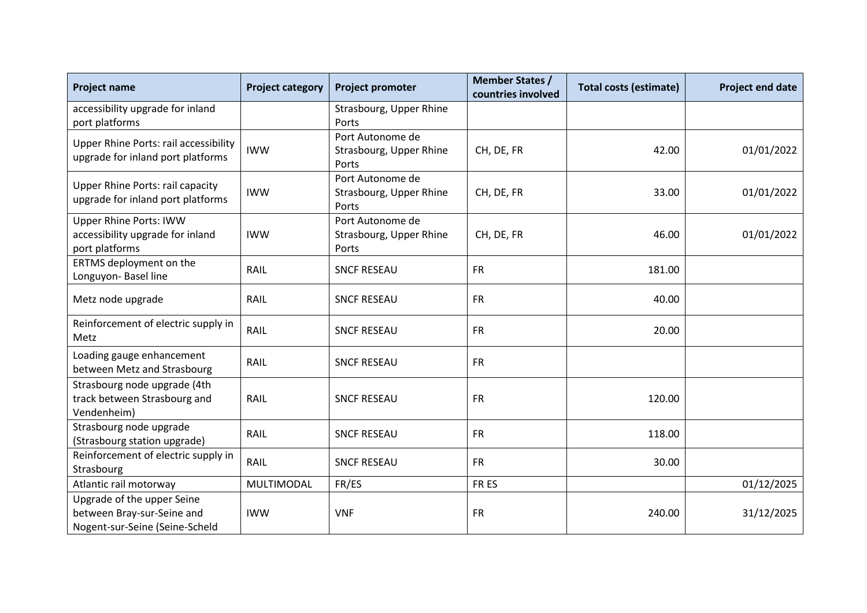| <b>Project name</b>                                                                        | <b>Project category</b> | <b>Project promoter</b>                              | <b>Member States /</b><br>countries involved | <b>Total costs (estimate)</b> | <b>Project end date</b> |
|--------------------------------------------------------------------------------------------|-------------------------|------------------------------------------------------|----------------------------------------------|-------------------------------|-------------------------|
| accessibility upgrade for inland<br>port platforms                                         |                         | Strasbourg, Upper Rhine<br>Ports                     |                                              |                               |                         |
| <b>Upper Rhine Ports: rail accessibility</b><br>upgrade for inland port platforms          | <b>IWW</b>              | Port Autonome de<br>Strasbourg, Upper Rhine<br>Ports | CH, DE, FR                                   | 42.00                         | 01/01/2022              |
| <b>Upper Rhine Ports: rail capacity</b><br>upgrade for inland port platforms               | <b>IWW</b>              | Port Autonome de<br>Strasbourg, Upper Rhine<br>Ports | CH, DE, FR                                   | 33.00                         | 01/01/2022              |
| <b>Upper Rhine Ports: IWW</b><br>accessibility upgrade for inland<br>port platforms        | <b>IWW</b>              | Port Autonome de<br>Strasbourg, Upper Rhine<br>Ports | CH, DE, FR                                   | 46.00                         | 01/01/2022              |
| ERTMS deployment on the<br>Longuyon- Basel line                                            | RAIL                    | <b>SNCF RESEAU</b>                                   | <b>FR</b>                                    | 181.00                        |                         |
| Metz node upgrade                                                                          | RAIL                    | <b>SNCF RESEAU</b>                                   | <b>FR</b>                                    | 40.00                         |                         |
| Reinforcement of electric supply in<br>Metz                                                | RAIL                    | <b>SNCF RESEAU</b>                                   | <b>FR</b>                                    | 20.00                         |                         |
| Loading gauge enhancement<br>between Metz and Strasbourg                                   | RAIL                    | <b>SNCF RESEAU</b>                                   | <b>FR</b>                                    |                               |                         |
| Strasbourg node upgrade (4th<br>track between Strasbourg and<br>Vendenheim)                | RAIL                    | <b>SNCF RESEAU</b>                                   | <b>FR</b>                                    | 120.00                        |                         |
| Strasbourg node upgrade<br>(Strasbourg station upgrade)                                    | RAIL                    | <b>SNCF RESEAU</b>                                   | <b>FR</b>                                    | 118.00                        |                         |
| Reinforcement of electric supply in<br>Strasbourg                                          | RAIL                    | <b>SNCF RESEAU</b>                                   | <b>FR</b>                                    | 30.00                         |                         |
| Atlantic rail motorway                                                                     | MULTIMODAL              | FR/ES                                                | FR ES                                        |                               | 01/12/2025              |
| Upgrade of the upper Seine<br>between Bray-sur-Seine and<br>Nogent-sur-Seine (Seine-Scheld | <b>IWW</b>              | <b>VNF</b>                                           | <b>FR</b>                                    | 240.00                        | 31/12/2025              |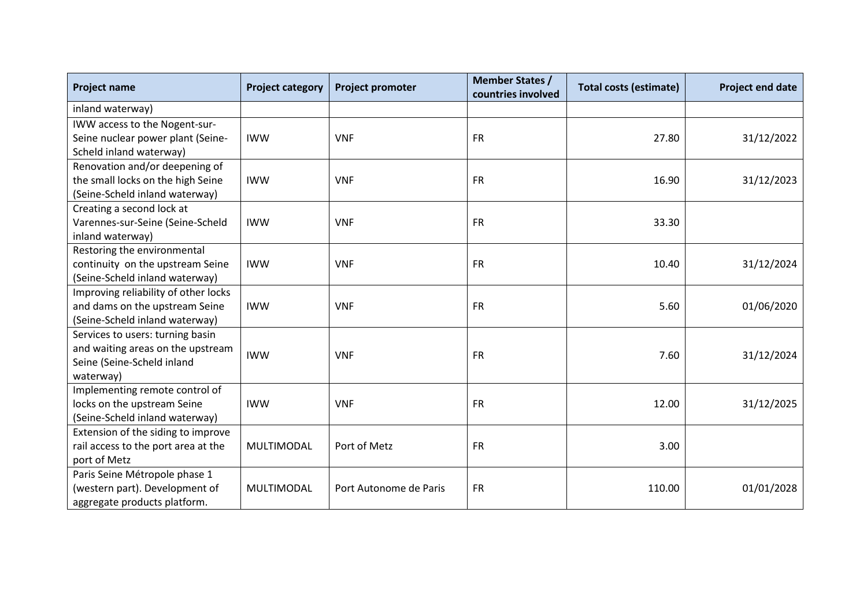| <b>Project name</b>                  | <b>Project category</b> | <b>Project promoter</b> | <b>Member States /</b><br>countries involved | <b>Total costs (estimate)</b> | <b>Project end date</b> |
|--------------------------------------|-------------------------|-------------------------|----------------------------------------------|-------------------------------|-------------------------|
| inland waterway)                     |                         |                         |                                              |                               |                         |
| IWW access to the Nogent-sur-        |                         |                         |                                              |                               |                         |
| Seine nuclear power plant (Seine-    | <b>IWW</b>              | <b>VNF</b>              | <b>FR</b>                                    | 27.80                         | 31/12/2022              |
| Scheld inland waterway)              |                         |                         |                                              |                               |                         |
| Renovation and/or deepening of       |                         |                         |                                              |                               |                         |
| the small locks on the high Seine    | <b>IWW</b>              | <b>VNF</b>              | <b>FR</b>                                    | 16.90                         | 31/12/2023              |
| (Seine-Scheld inland waterway)       |                         |                         |                                              |                               |                         |
| Creating a second lock at            |                         |                         |                                              |                               |                         |
| Varennes-sur-Seine (Seine-Scheld     | <b>IWW</b>              | <b>VNF</b>              | <b>FR</b>                                    | 33.30                         |                         |
| inland waterway)                     |                         |                         |                                              |                               |                         |
| Restoring the environmental          |                         |                         |                                              |                               |                         |
| continuity on the upstream Seine     | <b>IWW</b>              | <b>VNF</b>              | <b>FR</b>                                    | 10.40                         | 31/12/2024              |
| (Seine-Scheld inland waterway)       |                         |                         |                                              |                               |                         |
| Improving reliability of other locks |                         |                         |                                              |                               |                         |
| and dams on the upstream Seine       | <b>IWW</b>              | <b>VNF</b>              | <b>FR</b>                                    | 5.60                          | 01/06/2020              |
| (Seine-Scheld inland waterway)       |                         |                         |                                              |                               |                         |
| Services to users: turning basin     |                         |                         |                                              |                               |                         |
| and waiting areas on the upstream    | <b>IWW</b>              | <b>VNF</b>              | <b>FR</b>                                    | 7.60                          | 31/12/2024              |
| Seine (Seine-Scheld inland           |                         |                         |                                              |                               |                         |
| waterway)                            |                         |                         |                                              |                               |                         |
| Implementing remote control of       |                         |                         |                                              |                               |                         |
| locks on the upstream Seine          | <b>IWW</b>              | <b>VNF</b>              | <b>FR</b>                                    | 12.00                         | 31/12/2025              |
| (Seine-Scheld inland waterway)       |                         |                         |                                              |                               |                         |
| Extension of the siding to improve   |                         |                         |                                              |                               |                         |
| rail access to the port area at the  | MULTIMODAL              | Port of Metz            | <b>FR</b>                                    | 3.00                          |                         |
| port of Metz                         |                         |                         |                                              |                               |                         |
| Paris Seine Métropole phase 1        |                         |                         |                                              |                               |                         |
| (western part). Development of       | MULTIMODAL              | Port Autonome de Paris  | <b>FR</b>                                    | 110.00                        | 01/01/2028              |
| aggregate products platform.         |                         |                         |                                              |                               |                         |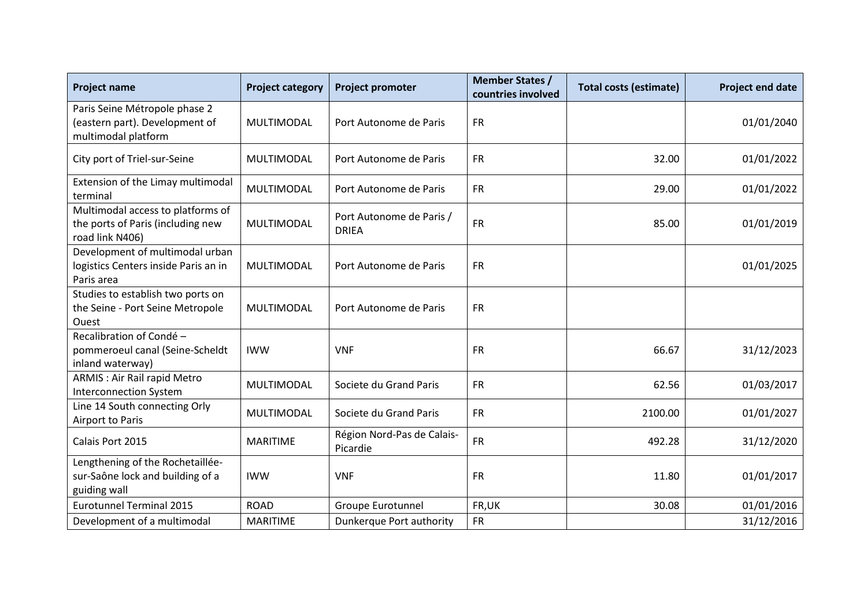| <b>Project name</b>                                                                       | <b>Project category</b> | <b>Project promoter</b>                  | <b>Member States /</b><br>countries involved | <b>Total costs (estimate)</b> | Project end date |
|-------------------------------------------------------------------------------------------|-------------------------|------------------------------------------|----------------------------------------------|-------------------------------|------------------|
| Paris Seine Métropole phase 2<br>(eastern part). Development of<br>multimodal platform    | MULTIMODAL              | Port Autonome de Paris                   | <b>FR</b>                                    |                               | 01/01/2040       |
| City port of Triel-sur-Seine                                                              | MULTIMODAL              | Port Autonome de Paris                   | <b>FR</b>                                    | 32.00                         | 01/01/2022       |
| Extension of the Limay multimodal<br>terminal                                             | MULTIMODAL              | Port Autonome de Paris                   | <b>FR</b>                                    | 29.00                         | 01/01/2022       |
| Multimodal access to platforms of<br>the ports of Paris (including new<br>road link N406) | MULTIMODAL              | Port Autonome de Paris /<br><b>DRIEA</b> | <b>FR</b>                                    | 85.00                         | 01/01/2019       |
| Development of multimodal urban<br>logistics Centers inside Paris an in<br>Paris area     | MULTIMODAL              | Port Autonome de Paris                   | <b>FR</b>                                    |                               | 01/01/2025       |
| Studies to establish two ports on<br>the Seine - Port Seine Metropole<br>Ouest            | MULTIMODAL              | Port Autonome de Paris                   | <b>FR</b>                                    |                               |                  |
| Recalibration of Condé -<br>pommeroeul canal (Seine-Scheldt<br>inland waterway)           | <b>IWW</b>              | <b>VNF</b>                               | <b>FR</b>                                    | 66.67                         | 31/12/2023       |
| ARMIS : Air Rail rapid Metro<br><b>Interconnection System</b>                             | MULTIMODAL              | Societe du Grand Paris                   | <b>FR</b>                                    | 62.56                         | 01/03/2017       |
| Line 14 South connecting Orly<br>Airport to Paris                                         | <b>MULTIMODAL</b>       | Societe du Grand Paris                   | <b>FR</b>                                    | 2100.00                       | 01/01/2027       |
| Calais Port 2015                                                                          | <b>MARITIME</b>         | Région Nord-Pas de Calais-<br>Picardie   | <b>FR</b>                                    | 492.28                        | 31/12/2020       |
| Lengthening of the Rochetaillée-<br>sur-Saône lock and building of a<br>guiding wall      | <b>IWW</b>              | <b>VNF</b>                               | <b>FR</b>                                    | 11.80                         | 01/01/2017       |
| <b>Eurotunnel Terminal 2015</b>                                                           | <b>ROAD</b>             | Groupe Eurotunnel                        | FR,UK                                        | 30.08                         | 01/01/2016       |
| Development of a multimodal                                                               | <b>MARITIME</b>         | Dunkerque Port authority                 | <b>FR</b>                                    |                               | 31/12/2016       |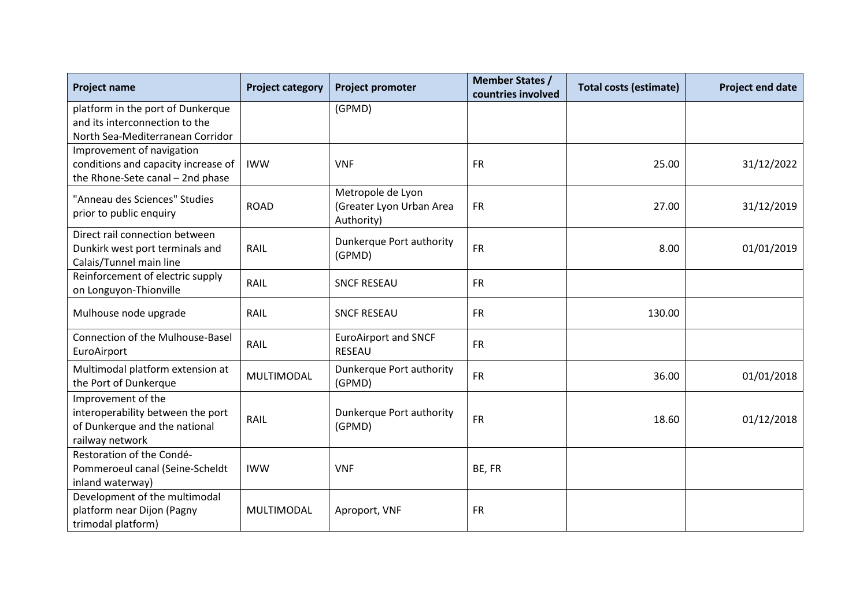| <b>Project name</b>                                        | <b>Project category</b> | <b>Project promoter</b>            | <b>Member States /</b><br>countries involved | <b>Total costs (estimate)</b> | <b>Project end date</b> |
|------------------------------------------------------------|-------------------------|------------------------------------|----------------------------------------------|-------------------------------|-------------------------|
| platform in the port of Dunkerque                          |                         | (GPMD)                             |                                              |                               |                         |
| and its interconnection to the                             |                         |                                    |                                              |                               |                         |
| North Sea-Mediterranean Corridor                           |                         |                                    |                                              |                               |                         |
| Improvement of navigation                                  |                         |                                    |                                              |                               |                         |
| conditions and capacity increase of                        | <b>IWW</b>              | <b>VNF</b>                         | <b>FR</b>                                    | 25.00                         | 31/12/2022              |
| the Rhone-Sete canal - 2nd phase                           |                         |                                    |                                              |                               |                         |
| "Anneau des Sciences" Studies                              |                         | Metropole de Lyon                  |                                              |                               |                         |
| prior to public enquiry                                    | <b>ROAD</b>             | (Greater Lyon Urban Area           | <b>FR</b>                                    | 27.00                         | 31/12/2019              |
|                                                            |                         | Authority)                         |                                              |                               |                         |
| Direct rail connection between                             |                         | Dunkerque Port authority           | <b>FR</b>                                    |                               |                         |
| Dunkirk west port terminals and<br>Calais/Tunnel main line | RAIL                    | (GPMD)                             |                                              | 8.00                          | 01/01/2019              |
| Reinforcement of electric supply                           |                         |                                    |                                              |                               |                         |
| on Longuyon-Thionville                                     | RAIL                    | <b>SNCF RESEAU</b>                 | <b>FR</b>                                    |                               |                         |
|                                                            |                         |                                    |                                              |                               |                         |
| Mulhouse node upgrade                                      | RAIL                    | <b>SNCF RESEAU</b>                 | <b>FR</b>                                    | 130.00                        |                         |
| Connection of the Mulhouse-Basel                           |                         | <b>EuroAirport and SNCF</b>        |                                              |                               |                         |
| EuroAirport                                                | RAIL                    | <b>RESEAU</b>                      | <b>FR</b>                                    |                               |                         |
|                                                            |                         |                                    |                                              |                               |                         |
| Multimodal platform extension at<br>the Port of Dunkerque  | MULTIMODAL              | Dunkerque Port authority<br>(GPMD) | <b>FR</b>                                    | 36.00                         | 01/01/2018              |
|                                                            |                         |                                    |                                              |                               |                         |
| Improvement of the<br>interoperability between the port    |                         |                                    |                                              |                               |                         |
| of Dunkerque and the national                              | RAIL                    | Dunkerque Port authority<br>(GPMD) | <b>FR</b>                                    | 18.60                         | 01/12/2018              |
| railway network                                            |                         |                                    |                                              |                               |                         |
| Restoration of the Condé-                                  |                         |                                    |                                              |                               |                         |
| Pommeroeul canal (Seine-Scheldt                            | <b>IWW</b>              | <b>VNF</b>                         | BE, FR                                       |                               |                         |
| inland waterway)                                           |                         |                                    |                                              |                               |                         |
| Development of the multimodal                              |                         |                                    |                                              |                               |                         |
| platform near Dijon (Pagny                                 | MULTIMODAL              | Aproport, VNF                      | <b>FR</b>                                    |                               |                         |
| trimodal platform)                                         |                         |                                    |                                              |                               |                         |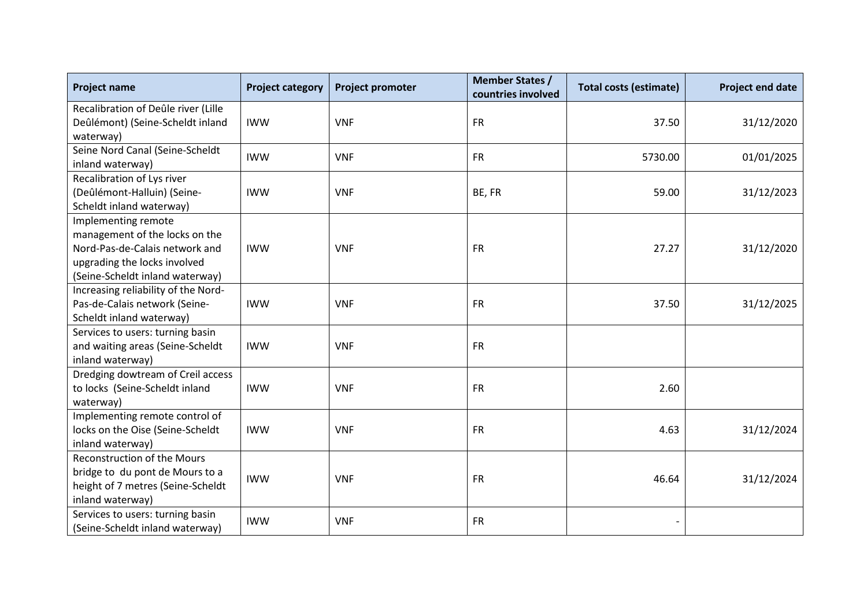| <b>Project name</b>                                                                                                                                        | <b>Project category</b> | <b>Project promoter</b> | <b>Member States /</b><br>countries involved | <b>Total costs (estimate)</b> | <b>Project end date</b> |
|------------------------------------------------------------------------------------------------------------------------------------------------------------|-------------------------|-------------------------|----------------------------------------------|-------------------------------|-------------------------|
| Recalibration of Deûle river (Lille<br>Deûlémont) (Seine-Scheldt inland<br>waterway)                                                                       | <b>IWW</b>              | <b>VNF</b>              | <b>FR</b>                                    | 37.50                         | 31/12/2020              |
| Seine Nord Canal (Seine-Scheldt<br>inland waterway)                                                                                                        | <b>IWW</b>              | <b>VNF</b>              | <b>FR</b>                                    | 5730.00                       | 01/01/2025              |
| Recalibration of Lys river<br>(Deûlémont-Halluin) (Seine-<br>Scheldt inland waterway)                                                                      | <b>IWW</b>              | <b>VNF</b>              | BE, FR                                       | 59.00                         | 31/12/2023              |
| Implementing remote<br>management of the locks on the<br>Nord-Pas-de-Calais network and<br>upgrading the locks involved<br>(Seine-Scheldt inland waterway) | <b>IWW</b>              | <b>VNF</b>              | <b>FR</b>                                    | 27.27                         | 31/12/2020              |
| Increasing reliability of the Nord-<br>Pas-de-Calais network (Seine-<br>Scheldt inland waterway)                                                           | <b>IWW</b>              | <b>VNF</b>              | <b>FR</b>                                    | 37.50                         | 31/12/2025              |
| Services to users: turning basin<br>and waiting areas (Seine-Scheldt<br>inland waterway)                                                                   | <b>IWW</b>              | <b>VNF</b>              | <b>FR</b>                                    |                               |                         |
| Dredging dowtream of Creil access<br>to locks (Seine-Scheldt inland<br>waterway)                                                                           | <b>IWW</b>              | <b>VNF</b>              | <b>FR</b>                                    | 2.60                          |                         |
| Implementing remote control of<br>locks on the Oise (Seine-Scheldt<br>inland waterway)                                                                     | <b>IWW</b>              | <b>VNF</b>              | <b>FR</b>                                    | 4.63                          | 31/12/2024              |
| <b>Reconstruction of the Mours</b><br>bridge to du pont de Mours to a<br>height of 7 metres (Seine-Scheldt<br>inland waterway)                             | <b>IWW</b>              | <b>VNF</b>              | <b>FR</b>                                    | 46.64                         | 31/12/2024              |
| Services to users: turning basin<br>(Seine-Scheldt inland waterway)                                                                                        | <b>IWW</b>              | <b>VNF</b>              | <b>FR</b>                                    |                               |                         |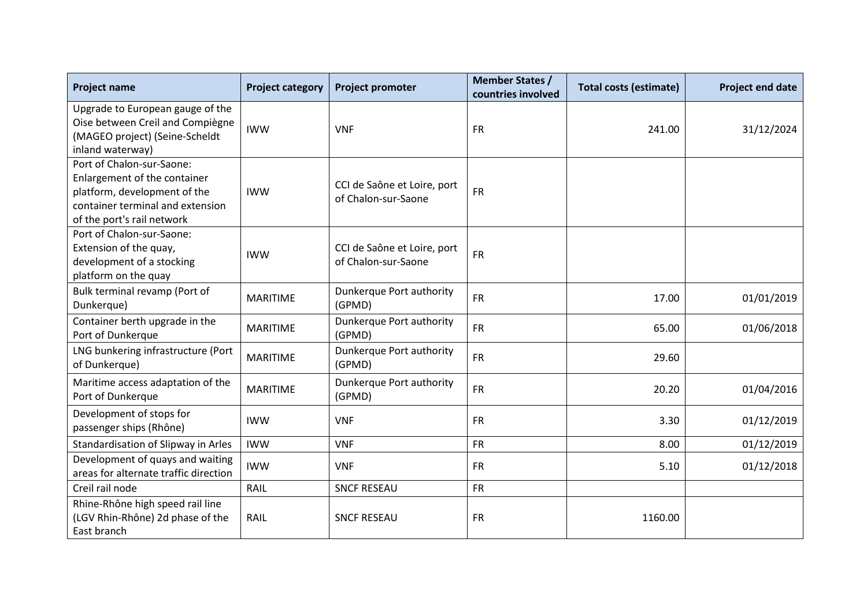| <b>Project name</b>                                                                                                                                         | <b>Project category</b> | <b>Project promoter</b>                            | <b>Member States /</b><br>countries involved | <b>Total costs (estimate)</b> | Project end date |
|-------------------------------------------------------------------------------------------------------------------------------------------------------------|-------------------------|----------------------------------------------------|----------------------------------------------|-------------------------------|------------------|
| Upgrade to European gauge of the<br>Oise between Creil and Compiègne<br>(MAGEO project) (Seine-Scheldt<br>inland waterway)                                  | <b>IWW</b>              | <b>VNF</b>                                         | <b>FR</b>                                    | 241.00                        | 31/12/2024       |
| Port of Chalon-sur-Saone:<br>Enlargement of the container<br>platform, development of the<br>container terminal and extension<br>of the port's rail network | <b>IWW</b>              | CCI de Saône et Loire, port<br>of Chalon-sur-Saone | <b>FR</b>                                    |                               |                  |
| Port of Chalon-sur-Saone:<br>Extension of the quay,<br>development of a stocking<br>platform on the quay                                                    | <b>IWW</b>              | CCI de Saône et Loire, port<br>of Chalon-sur-Saone | <b>FR</b>                                    |                               |                  |
| Bulk terminal revamp (Port of<br>Dunkerque)                                                                                                                 | <b>MARITIME</b>         | Dunkerque Port authority<br>(GPMD)                 | <b>FR</b>                                    | 17.00                         | 01/01/2019       |
| Container berth upgrade in the<br>Port of Dunkerque                                                                                                         | <b>MARITIME</b>         | Dunkerque Port authority<br>(GPMD)                 | <b>FR</b>                                    | 65.00                         | 01/06/2018       |
| LNG bunkering infrastructure (Port<br>of Dunkerque)                                                                                                         | <b>MARITIME</b>         | Dunkerque Port authority<br>(GPMD)                 | <b>FR</b>                                    | 29.60                         |                  |
| Maritime access adaptation of the<br>Port of Dunkerque                                                                                                      | <b>MARITIME</b>         | Dunkerque Port authority<br>(GPMD)                 | <b>FR</b>                                    | 20.20                         | 01/04/2016       |
| Development of stops for<br>passenger ships (Rhône)                                                                                                         | <b>IWW</b>              | <b>VNF</b>                                         | <b>FR</b>                                    | 3.30                          | 01/12/2019       |
| Standardisation of Slipway in Arles                                                                                                                         | <b>IWW</b>              | <b>VNF</b>                                         | <b>FR</b>                                    | 8.00                          | 01/12/2019       |
| Development of quays and waiting<br>areas for alternate traffic direction                                                                                   | <b>IWW</b>              | <b>VNF</b>                                         | <b>FR</b>                                    | 5.10                          | 01/12/2018       |
| Creil rail node                                                                                                                                             | RAIL                    | <b>SNCF RESEAU</b>                                 | <b>FR</b>                                    |                               |                  |
| Rhine-Rhône high speed rail line<br>(LGV Rhin-Rhône) 2d phase of the<br>East branch                                                                         | RAIL                    | <b>SNCF RESEAU</b>                                 | <b>FR</b>                                    | 1160.00                       |                  |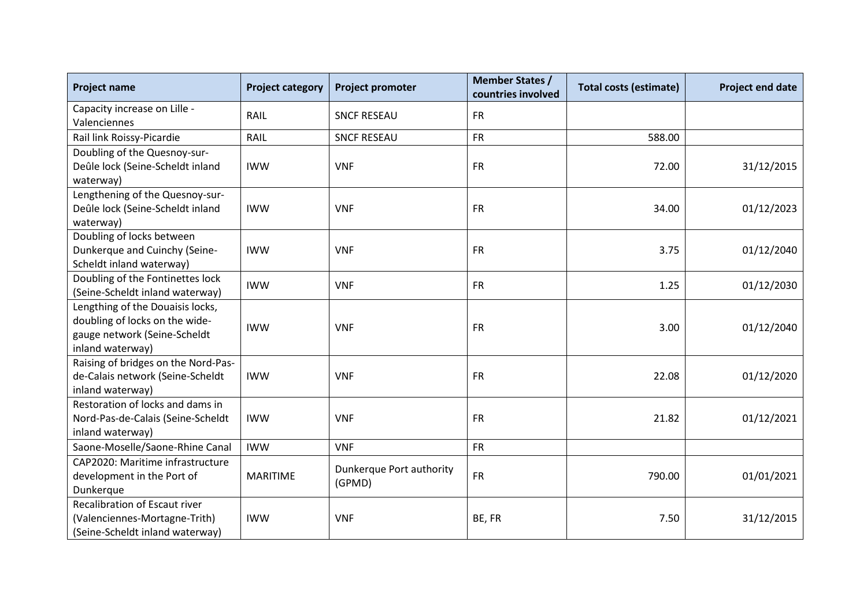| <b>Project name</b>                                                                                                    | <b>Project category</b> | <b>Project promoter</b>            | <b>Member States /</b><br>countries involved | <b>Total costs (estimate)</b> | <b>Project end date</b> |
|------------------------------------------------------------------------------------------------------------------------|-------------------------|------------------------------------|----------------------------------------------|-------------------------------|-------------------------|
| Capacity increase on Lille -<br>Valenciennes                                                                           | RAIL                    | <b>SNCF RESEAU</b>                 | <b>FR</b>                                    |                               |                         |
| Rail link Roissy-Picardie                                                                                              | RAIL                    | <b>SNCF RESEAU</b>                 | <b>FR</b>                                    | 588.00                        |                         |
| Doubling of the Quesnoy-sur-<br>Deûle lock (Seine-Scheldt inland<br>waterway)                                          | <b>IWW</b>              | <b>VNF</b>                         | <b>FR</b>                                    | 72.00                         | 31/12/2015              |
| Lengthening of the Quesnoy-sur-<br>Deûle lock (Seine-Scheldt inland<br>waterway)                                       | <b>IWW</b>              | <b>VNF</b>                         | <b>FR</b>                                    | 34.00                         | 01/12/2023              |
| Doubling of locks between<br>Dunkerque and Cuinchy (Seine-<br>Scheldt inland waterway)                                 | <b>IWW</b>              | <b>VNF</b>                         | <b>FR</b>                                    | 3.75                          | 01/12/2040              |
| Doubling of the Fontinettes lock<br>(Seine-Scheldt inland waterway)                                                    | <b>IWW</b>              | <b>VNF</b>                         | <b>FR</b>                                    | 1.25                          | 01/12/2030              |
| Lengthing of the Douaisis locks,<br>doubling of locks on the wide-<br>gauge network (Seine-Scheldt<br>inland waterway) | <b>IWW</b>              | <b>VNF</b>                         | <b>FR</b>                                    | 3.00                          | 01/12/2040              |
| Raising of bridges on the Nord-Pas-<br>de-Calais network (Seine-Scheldt<br>inland waterway)                            | <b>IWW</b>              | <b>VNF</b>                         | <b>FR</b>                                    | 22.08                         | 01/12/2020              |
| Restoration of locks and dams in<br>Nord-Pas-de-Calais (Seine-Scheldt<br>inland waterway)                              | <b>IWW</b>              | <b>VNF</b>                         | <b>FR</b>                                    | 21.82                         | 01/12/2021              |
| Saone-Moselle/Saone-Rhine Canal                                                                                        | <b>IWW</b>              | <b>VNF</b>                         | <b>FR</b>                                    |                               |                         |
| CAP2020: Maritime infrastructure<br>development in the Port of<br>Dunkerque                                            | <b>MARITIME</b>         | Dunkerque Port authority<br>(GPMD) | <b>FR</b>                                    | 790.00                        | 01/01/2021              |
| Recalibration of Escaut river<br>(Valenciennes-Mortagne-Trith)<br>(Seine-Scheldt inland waterway)                      | <b>IWW</b>              | <b>VNF</b>                         | BE, FR                                       | 7.50                          | 31/12/2015              |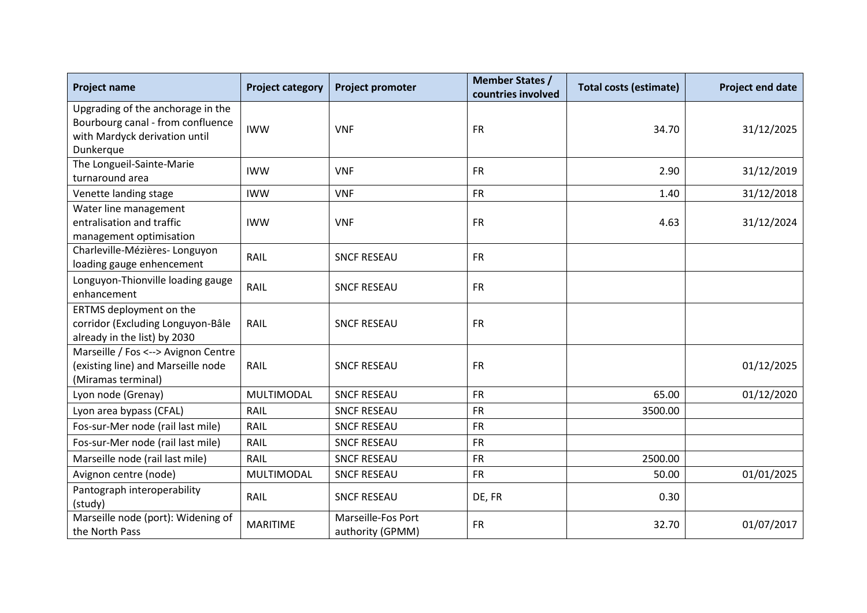| <b>Project name</b>                                                                                                  | <b>Project category</b> | <b>Project promoter</b>                | <b>Member States /</b><br>countries involved | <b>Total costs (estimate)</b> | <b>Project end date</b> |
|----------------------------------------------------------------------------------------------------------------------|-------------------------|----------------------------------------|----------------------------------------------|-------------------------------|-------------------------|
| Upgrading of the anchorage in the<br>Bourbourg canal - from confluence<br>with Mardyck derivation until<br>Dunkerque | <b>IWW</b>              | <b>VNF</b>                             | <b>FR</b>                                    | 34.70                         | 31/12/2025              |
| The Longueil-Sainte-Marie<br>turnaround area                                                                         | <b>IWW</b>              | <b>VNF</b>                             | <b>FR</b>                                    | 2.90                          | 31/12/2019              |
| Venette landing stage                                                                                                | <b>IWW</b>              | <b>VNF</b>                             | <b>FR</b>                                    | 1.40                          | 31/12/2018              |
| Water line management<br>entralisation and traffic<br>management optimisation                                        | <b>IWW</b>              | <b>VNF</b>                             | <b>FR</b>                                    | 4.63                          | 31/12/2024              |
| Charleville-Mézières-Longuyon<br>loading gauge enhencement                                                           | RAIL                    | <b>SNCF RESEAU</b>                     | <b>FR</b>                                    |                               |                         |
| Longuyon-Thionville loading gauge<br>enhancement                                                                     | RAIL                    | <b>SNCF RESEAU</b>                     | <b>FR</b>                                    |                               |                         |
| ERTMS deployment on the<br>corridor (Excluding Longuyon-Bâle<br>already in the list) by 2030                         | RAIL                    | <b>SNCF RESEAU</b>                     | <b>FR</b>                                    |                               |                         |
| Marseille / Fos <--> Avignon Centre<br>(existing line) and Marseille node<br>(Miramas terminal)                      | RAIL                    | <b>SNCF RESEAU</b>                     | <b>FR</b>                                    |                               | 01/12/2025              |
| Lyon node (Grenay)                                                                                                   | MULTIMODAL              | <b>SNCF RESEAU</b>                     | <b>FR</b>                                    | 65.00                         | 01/12/2020              |
| Lyon area bypass (CFAL)                                                                                              | RAIL                    | <b>SNCF RESEAU</b>                     | <b>FR</b>                                    | 3500.00                       |                         |
| Fos-sur-Mer node (rail last mile)                                                                                    | RAIL                    | <b>SNCF RESEAU</b>                     | <b>FR</b>                                    |                               |                         |
| Fos-sur-Mer node (rail last mile)                                                                                    | RAIL                    | <b>SNCF RESEAU</b>                     | <b>FR</b>                                    |                               |                         |
| Marseille node (rail last mile)                                                                                      | RAIL                    | <b>SNCF RESEAU</b>                     | <b>FR</b>                                    | 2500.00                       |                         |
| Avignon centre (node)                                                                                                | MULTIMODAL              | <b>SNCF RESEAU</b>                     | <b>FR</b>                                    | 50.00                         | 01/01/2025              |
| Pantograph interoperability<br>(study)                                                                               | RAIL                    | <b>SNCF RESEAU</b>                     | DE, FR                                       | 0.30                          |                         |
| Marseille node (port): Widening of<br>the North Pass                                                                 | <b>MARITIME</b>         | Marseille-Fos Port<br>authority (GPMM) | <b>FR</b>                                    | 32.70                         | 01/07/2017              |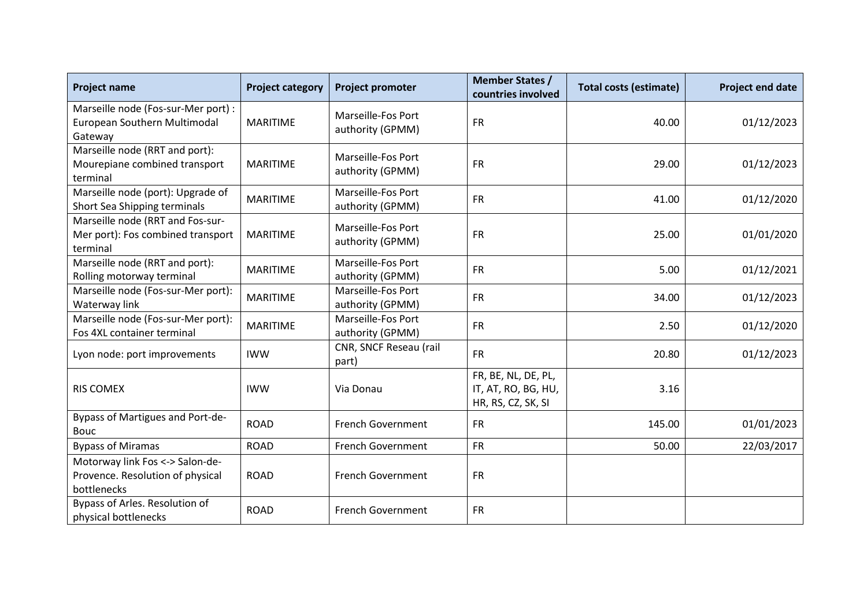| <b>Project name</b>                                                                | <b>Project category</b> | <b>Project promoter</b>                | <b>Member States /</b><br>countries involved                     | <b>Total costs (estimate)</b> | <b>Project end date</b> |
|------------------------------------------------------------------------------------|-------------------------|----------------------------------------|------------------------------------------------------------------|-------------------------------|-------------------------|
| Marseille node (Fos-sur-Mer port) :<br>European Southern Multimodal<br>Gateway     | <b>MARITIME</b>         | Marseille-Fos Port<br>authority (GPMM) | <b>FR</b>                                                        | 40.00                         | 01/12/2023              |
| Marseille node (RRT and port):<br>Mourepiane combined transport<br>terminal        | <b>MARITIME</b>         | Marseille-Fos Port<br>authority (GPMM) | <b>FR</b>                                                        | 29.00                         | 01/12/2023              |
| Marseille node (port): Upgrade of<br>Short Sea Shipping terminals                  | <b>MARITIME</b>         | Marseille-Fos Port<br>authority (GPMM) | <b>FR</b>                                                        | 41.00                         | 01/12/2020              |
| Marseille node (RRT and Fos-sur-<br>Mer port): Fos combined transport<br>terminal  | <b>MARITIME</b>         | Marseille-Fos Port<br>authority (GPMM) | <b>FR</b>                                                        | 25.00                         | 01/01/2020              |
| Marseille node (RRT and port):<br>Rolling motorway terminal                        | <b>MARITIME</b>         | Marseille-Fos Port<br>authority (GPMM) | <b>FR</b>                                                        | 5.00                          | 01/12/2021              |
| Marseille node (Fos-sur-Mer port):<br>Waterway link                                | <b>MARITIME</b>         | Marseille-Fos Port<br>authority (GPMM) | <b>FR</b>                                                        | 34.00                         | 01/12/2023              |
| Marseille node (Fos-sur-Mer port):<br>Fos 4XL container terminal                   | <b>MARITIME</b>         | Marseille-Fos Port<br>authority (GPMM) | <b>FR</b>                                                        | 2.50                          | 01/12/2020              |
| Lyon node: port improvements                                                       | <b>IWW</b>              | CNR, SNCF Reseau (rail<br>part)        | <b>FR</b>                                                        | 20.80                         | 01/12/2023              |
| <b>RIS COMEX</b>                                                                   | <b>IWW</b>              | Via Donau                              | FR, BE, NL, DE, PL,<br>IT, AT, RO, BG, HU,<br>HR, RS, CZ, SK, SI | 3.16                          |                         |
| Bypass of Martigues and Port-de-<br>Bouc                                           | <b>ROAD</b>             | <b>French Government</b>               | <b>FR</b>                                                        | 145.00                        | 01/01/2023              |
| <b>Bypass of Miramas</b>                                                           | <b>ROAD</b>             | French Government                      | <b>FR</b>                                                        | 50.00                         | 22/03/2017              |
| Motorway link Fos <-> Salon-de-<br>Provence. Resolution of physical<br>bottlenecks | <b>ROAD</b>             | <b>French Government</b>               | <b>FR</b>                                                        |                               |                         |
| Bypass of Arles. Resolution of<br>physical bottlenecks                             | <b>ROAD</b>             | <b>French Government</b>               | <b>FR</b>                                                        |                               |                         |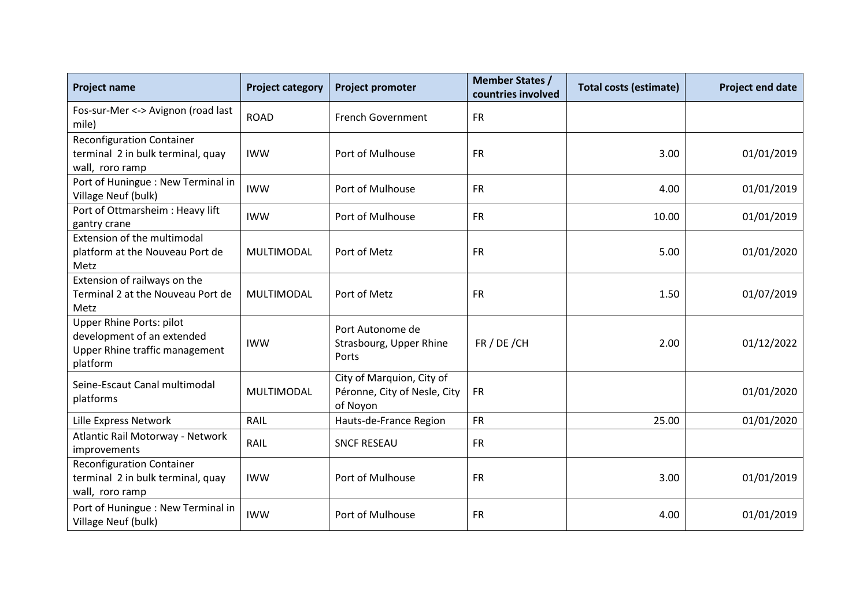| <b>Project name</b>                                                                                         | <b>Project category</b> | <b>Project promoter</b>                                               | <b>Member States /</b><br>countries involved | <b>Total costs (estimate)</b> | <b>Project end date</b> |
|-------------------------------------------------------------------------------------------------------------|-------------------------|-----------------------------------------------------------------------|----------------------------------------------|-------------------------------|-------------------------|
| Fos-sur-Mer <-> Avignon (road last<br>mile)                                                                 | <b>ROAD</b>             | French Government                                                     | <b>FR</b>                                    |                               |                         |
| <b>Reconfiguration Container</b><br>terminal 2 in bulk terminal, quay<br>wall, roro ramp                    | <b>IWW</b>              | Port of Mulhouse                                                      | <b>FR</b>                                    | 3.00                          | 01/01/2019              |
| Port of Huningue : New Terminal in<br>Village Neuf (bulk)                                                   | <b>IWW</b>              | Port of Mulhouse                                                      | <b>FR</b>                                    | 4.00                          | 01/01/2019              |
| Port of Ottmarsheim : Heavy lift<br>gantry crane                                                            | <b>IWW</b>              | Port of Mulhouse                                                      | <b>FR</b>                                    | 10.00                         | 01/01/2019              |
| Extension of the multimodal<br>platform at the Nouveau Port de<br>Metz                                      | <b>MULTIMODAL</b>       | Port of Metz                                                          | <b>FR</b>                                    | 5.00                          | 01/01/2020              |
| Extension of railways on the<br>Terminal 2 at the Nouveau Port de<br>Metz                                   | MULTIMODAL              | Port of Metz                                                          | <b>FR</b>                                    | 1.50                          | 01/07/2019              |
| <b>Upper Rhine Ports: pilot</b><br>development of an extended<br>Upper Rhine traffic management<br>platform | <b>IWW</b>              | Port Autonome de<br>Strasbourg, Upper Rhine<br>Ports                  | FR / DE / CH                                 | 2.00                          | 01/12/2022              |
| Seine-Escaut Canal multimodal<br>platforms                                                                  | MULTIMODAL              | City of Marquion, City of<br>Péronne, City of Nesle, City<br>of Noyon | <b>FR</b>                                    |                               | 01/01/2020              |
| Lille Express Network                                                                                       | RAIL                    | Hauts-de-France Region                                                | <b>FR</b>                                    | 25.00                         | 01/01/2020              |
| Atlantic Rail Motorway - Network<br>improvements                                                            | RAIL                    | <b>SNCF RESEAU</b>                                                    | <b>FR</b>                                    |                               |                         |
| <b>Reconfiguration Container</b><br>terminal 2 in bulk terminal, quay<br>wall, roro ramp                    | <b>IWW</b>              | Port of Mulhouse                                                      | <b>FR</b>                                    | 3.00                          | 01/01/2019              |
| Port of Huningue : New Terminal in<br>Village Neuf (bulk)                                                   | <b>IWW</b>              | Port of Mulhouse                                                      | <b>FR</b>                                    | 4.00                          | 01/01/2019              |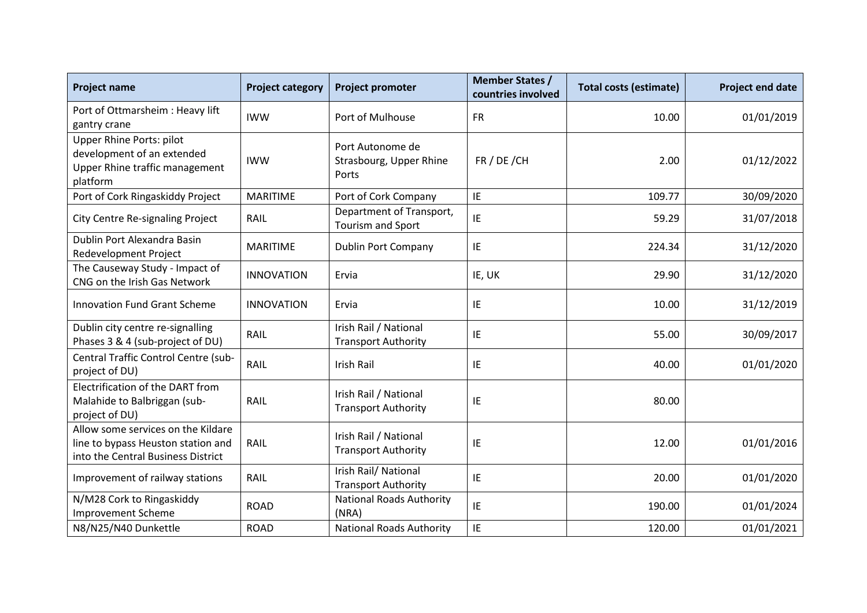| <b>Project name</b>                                                                                            | <b>Project category</b> | <b>Project promoter</b>                              | <b>Member States /</b><br>countries involved | <b>Total costs (estimate)</b> | Project end date |
|----------------------------------------------------------------------------------------------------------------|-------------------------|------------------------------------------------------|----------------------------------------------|-------------------------------|------------------|
| Port of Ottmarsheim : Heavy lift<br>gantry crane                                                               | <b>IWW</b>              | Port of Mulhouse                                     | <b>FR</b>                                    | 10.00                         | 01/01/2019       |
| Upper Rhine Ports: pilot<br>development of an extended<br>Upper Rhine traffic management<br>platform           | <b>IWW</b>              | Port Autonome de<br>Strasbourg, Upper Rhine<br>Ports | FR / DE / CH                                 | 2.00                          | 01/12/2022       |
| Port of Cork Ringaskiddy Project                                                                               | <b>MARITIME</b>         | Port of Cork Company                                 | IE                                           | 109.77                        | 30/09/2020       |
| <b>City Centre Re-signaling Project</b>                                                                        | RAIL                    | Department of Transport,<br>Tourism and Sport        | IE                                           | 59.29                         | 31/07/2018       |
| Dublin Port Alexandra Basin<br>Redevelopment Project                                                           | <b>MARITIME</b>         | <b>Dublin Port Company</b>                           | IE                                           | 224.34                        | 31/12/2020       |
| The Causeway Study - Impact of<br>CNG on the Irish Gas Network                                                 | <b>INNOVATION</b>       | Ervia                                                | IE, UK                                       | 29.90                         | 31/12/2020       |
| <b>Innovation Fund Grant Scheme</b>                                                                            | <b>INNOVATION</b>       | Ervia                                                | IE                                           | 10.00                         | 31/12/2019       |
| Dublin city centre re-signalling<br>Phases 3 & 4 (sub-project of DU)                                           | RAIL                    | Irish Rail / National<br><b>Transport Authority</b>  | IE                                           | 55.00                         | 30/09/2017       |
| Central Traffic Control Centre (sub-<br>project of DU)                                                         | RAIL                    | Irish Rail                                           | IE                                           | 40.00                         | 01/01/2020       |
| Electrification of the DART from<br>Malahide to Balbriggan (sub-<br>project of DU)                             | <b>RAIL</b>             | Irish Rail / National<br><b>Transport Authority</b>  | IE                                           | 80.00                         |                  |
| Allow some services on the Kildare<br>line to bypass Heuston station and<br>into the Central Business District | RAIL                    | Irish Rail / National<br><b>Transport Authority</b>  | IE                                           | 12.00                         | 01/01/2016       |
| Improvement of railway stations                                                                                | RAIL                    | Irish Rail/ National<br><b>Transport Authority</b>   | IE                                           | 20.00                         | 01/01/2020       |
| N/M28 Cork to Ringaskiddy<br><b>Improvement Scheme</b>                                                         | <b>ROAD</b>             | <b>National Roads Authority</b><br>(NRA)             | IE                                           | 190.00                        | 01/01/2024       |
| N8/N25/N40 Dunkettle                                                                                           | <b>ROAD</b>             | <b>National Roads Authority</b>                      | IE                                           | 120.00                        | 01/01/2021       |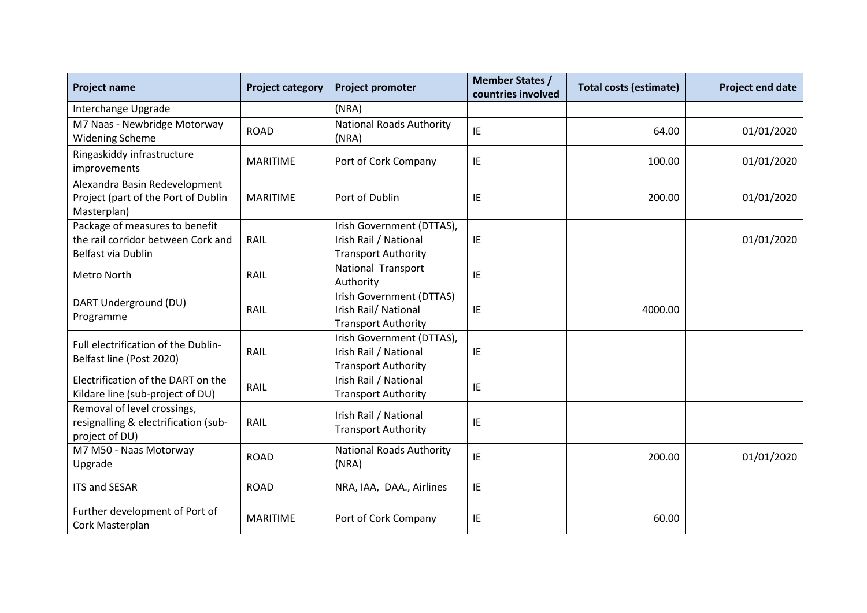| <b>Project name</b>                                                                        | <b>Project category</b> | <b>Project promoter</b>                                                          | <b>Member States /</b><br>countries involved | <b>Total costs (estimate)</b> | <b>Project end date</b> |
|--------------------------------------------------------------------------------------------|-------------------------|----------------------------------------------------------------------------------|----------------------------------------------|-------------------------------|-------------------------|
| Interchange Upgrade                                                                        |                         | (NRA)                                                                            |                                              |                               |                         |
| M7 Naas - Newbridge Motorway<br><b>Widening Scheme</b>                                     | <b>ROAD</b>             | <b>National Roads Authority</b><br>(NRA)                                         | IE                                           | 64.00                         | 01/01/2020              |
| Ringaskiddy infrastructure<br>improvements                                                 | <b>MARITIME</b>         | Port of Cork Company                                                             | IE                                           | 100.00                        | 01/01/2020              |
| Alexandra Basin Redevelopment<br>Project (part of the Port of Dublin<br>Masterplan)        | <b>MARITIME</b>         | Port of Dublin                                                                   | IE                                           | 200.00                        | 01/01/2020              |
| Package of measures to benefit<br>the rail corridor between Cork and<br>Belfast via Dublin | RAIL                    | Irish Government (DTTAS),<br>Irish Rail / National<br><b>Transport Authority</b> | IE                                           |                               | 01/01/2020              |
| Metro North                                                                                | RAIL                    | National Transport<br>Authority                                                  | IE                                           |                               |                         |
| DART Underground (DU)<br>Programme                                                         | RAIL                    | Irish Government (DTTAS)<br>Irish Rail/ National<br><b>Transport Authority</b>   | IE                                           | 4000.00                       |                         |
| Full electrification of the Dublin-<br>Belfast line (Post 2020)                            | RAIL                    | Irish Government (DTTAS),<br>Irish Rail / National<br><b>Transport Authority</b> | IE                                           |                               |                         |
| Electrification of the DART on the<br>Kildare line (sub-project of DU)                     | RAIL                    | Irish Rail / National<br><b>Transport Authority</b>                              | IE                                           |                               |                         |
| Removal of level crossings,<br>resignalling & electrification (sub-<br>project of DU)      | RAIL                    | Irish Rail / National<br><b>Transport Authority</b>                              | IE                                           |                               |                         |
| M7 M50 - Naas Motorway<br>Upgrade                                                          | <b>ROAD</b>             | <b>National Roads Authority</b><br>(NRA)                                         | IE                                           | 200.00                        | 01/01/2020              |
| <b>ITS and SESAR</b>                                                                       | <b>ROAD</b>             | NRA, IAA, DAA., Airlines                                                         | IE                                           |                               |                         |
| Further development of Port of<br>Cork Masterplan                                          | <b>MARITIME</b>         | Port of Cork Company                                                             | IE                                           | 60.00                         |                         |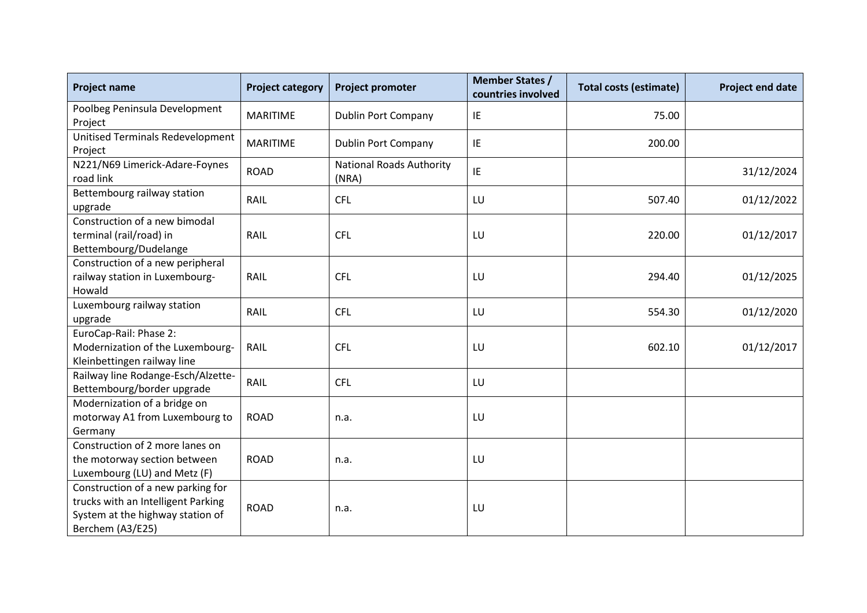| <b>Project name</b>                                                                                                             | <b>Project category</b> | <b>Project promoter</b>                  | <b>Member States /</b><br>countries involved | <b>Total costs (estimate)</b> | Project end date |
|---------------------------------------------------------------------------------------------------------------------------------|-------------------------|------------------------------------------|----------------------------------------------|-------------------------------|------------------|
| Poolbeg Peninsula Development<br>Project                                                                                        | <b>MARITIME</b>         | Dublin Port Company                      | IE                                           | 75.00                         |                  |
| Unitised Terminals Redevelopment<br>Project                                                                                     | <b>MARITIME</b>         | Dublin Port Company                      | IE                                           | 200.00                        |                  |
| N221/N69 Limerick-Adare-Foynes<br>road link                                                                                     | <b>ROAD</b>             | <b>National Roads Authority</b><br>(NRA) | IE                                           |                               | 31/12/2024       |
| Bettembourg railway station<br>upgrade                                                                                          | RAIL                    | <b>CFL</b>                               | LU                                           | 507.40                        | 01/12/2022       |
| Construction of a new bimodal<br>terminal (rail/road) in<br>Bettembourg/Dudelange                                               | RAIL                    | <b>CFL</b>                               | LU                                           | 220.00                        | 01/12/2017       |
| Construction of a new peripheral<br>railway station in Luxembourg-<br>Howald                                                    | RAIL                    | <b>CFL</b>                               | LU                                           | 294.40                        | 01/12/2025       |
| Luxembourg railway station<br>upgrade                                                                                           | RAIL                    | <b>CFL</b>                               | LU                                           | 554.30                        | 01/12/2020       |
| EuroCap-Rail: Phase 2:<br>Modernization of the Luxembourg-<br>Kleinbettingen railway line                                       | RAIL                    | <b>CFL</b>                               | LU                                           | 602.10                        | 01/12/2017       |
| Railway line Rodange-Esch/Alzette-<br>Bettembourg/border upgrade                                                                | RAIL                    | <b>CFL</b>                               | LU                                           |                               |                  |
| Modernization of a bridge on<br>motorway A1 from Luxembourg to<br>Germany                                                       | <b>ROAD</b>             | n.a.                                     | LU                                           |                               |                  |
| Construction of 2 more lanes on<br>the motorway section between<br>Luxembourg (LU) and Metz (F)                                 | <b>ROAD</b>             | n.a.                                     | LU                                           |                               |                  |
| Construction of a new parking for<br>trucks with an Intelligent Parking<br>System at the highway station of<br>Berchem (A3/E25) | <b>ROAD</b>             | n.a.                                     | LU                                           |                               |                  |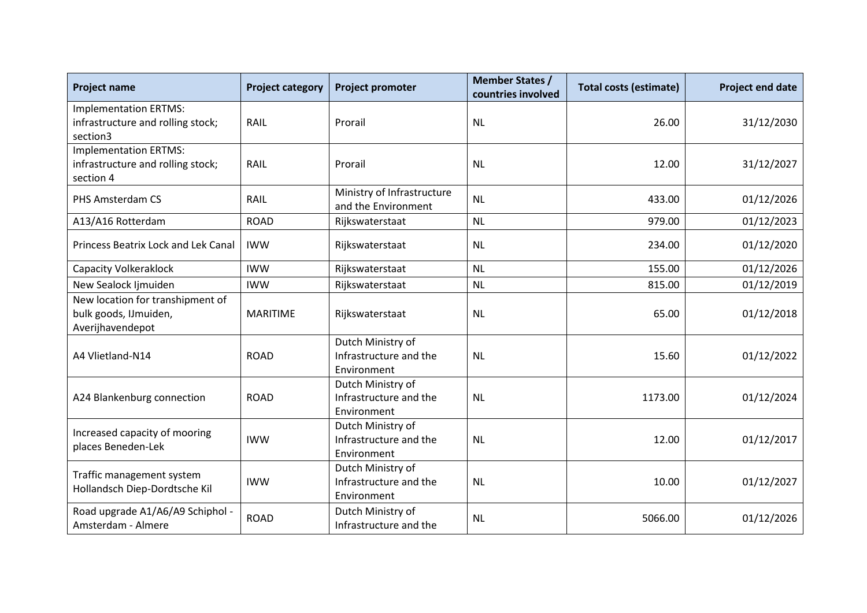| <b>Project name</b>                                                            | <b>Project category</b> | <b>Project promoter</b>                                    | <b>Member States /</b><br>countries involved | <b>Total costs (estimate)</b> | <b>Project end date</b> |
|--------------------------------------------------------------------------------|-------------------------|------------------------------------------------------------|----------------------------------------------|-------------------------------|-------------------------|
| <b>Implementation ERTMS:</b><br>infrastructure and rolling stock;<br>section3  | <b>RAIL</b>             | Prorail                                                    | <b>NL</b>                                    | 26.00                         | 31/12/2030              |
| <b>Implementation ERTMS:</b><br>infrastructure and rolling stock;<br>section 4 | <b>RAIL</b>             | Prorail                                                    | <b>NL</b>                                    | 12.00                         | 31/12/2027              |
| PHS Amsterdam CS                                                               | RAIL                    | Ministry of Infrastructure<br>and the Environment          | <b>NL</b>                                    | 433.00                        | 01/12/2026              |
| A13/A16 Rotterdam                                                              | <b>ROAD</b>             | Rijkswaterstaat                                            | <b>NL</b>                                    | 979.00                        | 01/12/2023              |
| <b>Princess Beatrix Lock and Lek Canal</b>                                     | <b>IWW</b>              | Rijkswaterstaat                                            | <b>NL</b>                                    | 234.00                        | 01/12/2020              |
| <b>Capacity Volkeraklock</b>                                                   | <b>IWW</b>              | Rijkswaterstaat                                            | <b>NL</b>                                    | 155.00                        | 01/12/2026              |
| New Sealock Ijmuiden                                                           | <b>IWW</b>              | Rijkswaterstaat                                            | <b>NL</b>                                    | 815.00                        | 01/12/2019              |
| New location for transhipment of<br>bulk goods, IJmuiden,<br>Averijhavendepot  | <b>MARITIME</b>         | Rijkswaterstaat                                            | <b>NL</b>                                    | 65.00                         | 01/12/2018              |
| A4 Vlietland-N14                                                               | <b>ROAD</b>             | Dutch Ministry of<br>Infrastructure and the<br>Environment | <b>NL</b>                                    | 15.60                         | 01/12/2022              |
| A24 Blankenburg connection                                                     | <b>ROAD</b>             | Dutch Ministry of<br>Infrastructure and the<br>Environment | <b>NL</b>                                    | 1173.00                       | 01/12/2024              |
| Increased capacity of mooring<br>places Beneden-Lek                            | <b>IWW</b>              | Dutch Ministry of<br>Infrastructure and the<br>Environment | <b>NL</b>                                    | 12.00                         | 01/12/2017              |
| Traffic management system<br>Hollandsch Diep-Dordtsche Kil                     | <b>IWW</b>              | Dutch Ministry of<br>Infrastructure and the<br>Environment | <b>NL</b>                                    | 10.00                         | 01/12/2027              |
| Road upgrade A1/A6/A9 Schiphol -<br>Amsterdam - Almere                         | <b>ROAD</b>             | Dutch Ministry of<br>Infrastructure and the                | <b>NL</b>                                    | 5066.00                       | 01/12/2026              |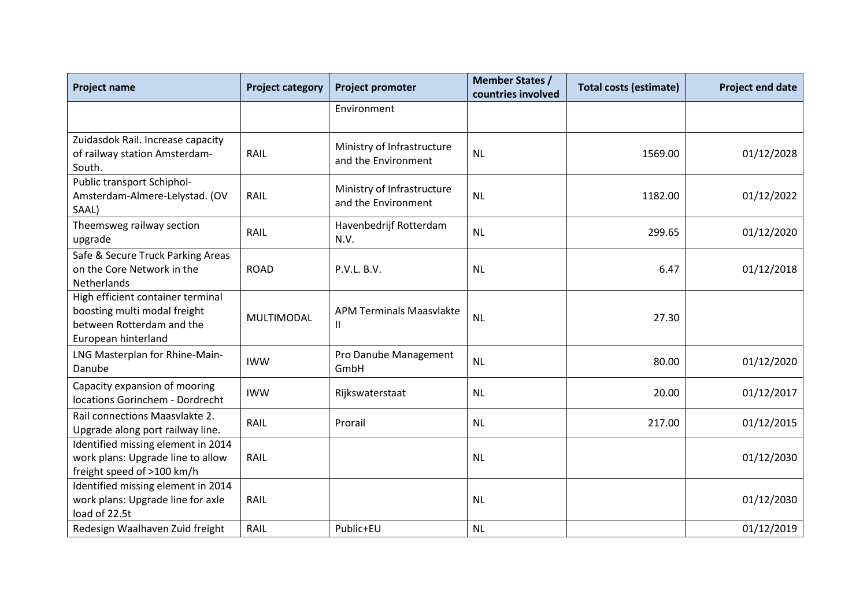| <b>Project name</b>                                                                                                   | <b>Project category</b> | <b>Project promoter</b>                           | <b>Member States /</b><br>countries involved | <b>Total costs (estimate)</b> | <b>Project end date</b> |
|-----------------------------------------------------------------------------------------------------------------------|-------------------------|---------------------------------------------------|----------------------------------------------|-------------------------------|-------------------------|
|                                                                                                                       |                         | Environment                                       |                                              |                               |                         |
| Zuidasdok Rail. Increase capacity<br>of railway station Amsterdam-<br>South.                                          | RAIL                    | Ministry of Infrastructure<br>and the Environment | <b>NL</b>                                    | 1569.00                       | 01/12/2028              |
| Public transport Schiphol-<br>Amsterdam-Almere-Lelystad. (OV<br>SAAL)                                                 | RAIL                    | Ministry of Infrastructure<br>and the Environment | <b>NL</b>                                    | 1182.00                       | 01/12/2022              |
| Theemsweg railway section<br>upgrade                                                                                  | RAIL                    | Havenbedrijf Rotterdam<br>N.V.                    | <b>NL</b>                                    | 299.65                        | 01/12/2020              |
| Safe & Secure Truck Parking Areas<br>on the Core Network in the<br>Netherlands                                        | <b>ROAD</b>             | P.V.L. B.V.                                       | <b>NL</b>                                    | 6.47                          | 01/12/2018              |
| High efficient container terminal<br>boosting multi modal freight<br>between Rotterdam and the<br>European hinterland | MULTIMODAL              | <b>APM Terminals Maasvlakte</b><br>$\mathbf{I}$   | <b>NL</b>                                    | 27.30                         |                         |
| LNG Masterplan for Rhine-Main-<br>Danube                                                                              | <b>IWW</b>              | Pro Danube Management<br>GmbH                     | <b>NL</b>                                    | 80.00                         | 01/12/2020              |
| Capacity expansion of mooring<br>locations Gorinchem - Dordrecht                                                      | <b>IWW</b>              | Rijkswaterstaat                                   | <b>NL</b>                                    | 20.00                         | 01/12/2017              |
| Rail connections Maasvlakte 2.<br>Upgrade along port railway line.                                                    | RAIL                    | Prorail                                           | <b>NL</b>                                    | 217.00                        | 01/12/2015              |
| Identified missing element in 2014<br>work plans: Upgrade line to allow<br>freight speed of >100 km/h                 | RAIL                    |                                                   | <b>NL</b>                                    |                               | 01/12/2030              |
| Identified missing element in 2014<br>work plans: Upgrade line for axle<br>load of 22.5t                              | RAIL                    |                                                   | <b>NL</b>                                    |                               | 01/12/2030              |
| Redesign Waalhaven Zuid freight                                                                                       | RAIL                    | Public+EU                                         | <b>NL</b>                                    |                               | 01/12/2019              |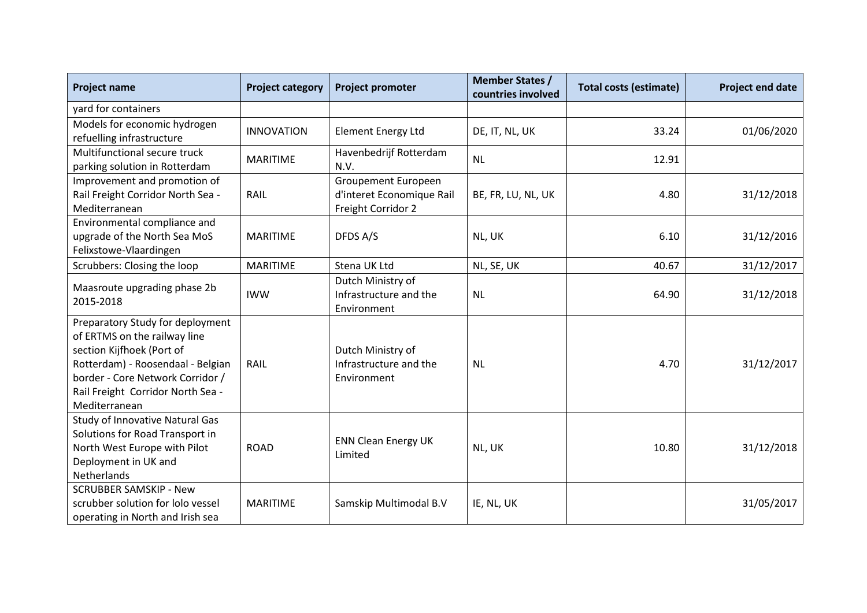| <b>Project name</b>                                              | <b>Project category</b> | <b>Project promoter</b>        | <b>Member States /</b><br>countries involved | <b>Total costs (estimate)</b> | <b>Project end date</b> |
|------------------------------------------------------------------|-------------------------|--------------------------------|----------------------------------------------|-------------------------------|-------------------------|
| yard for containers                                              |                         |                                |                                              |                               |                         |
| Models for economic hydrogen                                     | <b>INNOVATION</b>       | <b>Element Energy Ltd</b>      | DE, IT, NL, UK                               | 33.24                         | 01/06/2020              |
| refuelling infrastructure                                        |                         |                                |                                              |                               |                         |
| Multifunctional secure truck                                     | <b>MARITIME</b>         | Havenbedrijf Rotterdam<br>N.V. | <b>NL</b>                                    | 12.91                         |                         |
| parking solution in Rotterdam                                    |                         |                                |                                              |                               |                         |
| Improvement and promotion of                                     |                         | Groupement Europeen            |                                              |                               |                         |
| Rail Freight Corridor North Sea -                                | RAIL                    | d'interet Economique Rail      | BE, FR, LU, NL, UK                           | 4.80                          | 31/12/2018              |
| Mediterranean                                                    |                         | Freight Corridor 2             |                                              |                               |                         |
| Environmental compliance and                                     |                         |                                |                                              |                               |                         |
| upgrade of the North Sea MoS                                     | <b>MARITIME</b>         | DFDS A/S                       | NL, UK                                       | 6.10                          | 31/12/2016              |
| Felixstowe-Vlaardingen                                           |                         |                                |                                              |                               |                         |
| Scrubbers: Closing the loop                                      | <b>MARITIME</b>         | Stena UK Ltd                   | NL, SE, UK                                   | 40.67                         | 31/12/2017              |
| Maasroute upgrading phase 2b                                     |                         | Dutch Ministry of              |                                              |                               |                         |
| 2015-2018                                                        | <b>IWW</b>              | Infrastructure and the         | <b>NL</b>                                    | 64.90                         | 31/12/2018              |
|                                                                  |                         | Environment                    |                                              |                               |                         |
| Preparatory Study for deployment<br>of ERTMS on the railway line |                         |                                |                                              |                               |                         |
| section Kijfhoek (Port of                                        |                         | Dutch Ministry of              |                                              |                               |                         |
| Rotterdam) - Roosendaal - Belgian                                | RAIL                    | Infrastructure and the         | <b>NL</b>                                    | 4.70                          | 31/12/2017              |
| border - Core Network Corridor /                                 |                         | Environment                    |                                              |                               |                         |
| Rail Freight Corridor North Sea -                                |                         |                                |                                              |                               |                         |
| Mediterranean                                                    |                         |                                |                                              |                               |                         |
| <b>Study of Innovative Natural Gas</b>                           |                         |                                |                                              |                               |                         |
| Solutions for Road Transport in                                  |                         |                                |                                              |                               |                         |
| North West Europe with Pilot                                     | <b>ROAD</b>             | <b>ENN Clean Energy UK</b>     | NL, UK                                       | 10.80                         | 31/12/2018              |
| Deployment in UK and                                             |                         | Limited                        |                                              |                               |                         |
| Netherlands                                                      |                         |                                |                                              |                               |                         |
| <b>SCRUBBER SAMSKIP - New</b>                                    |                         |                                |                                              |                               |                         |
| scrubber solution for lolo vessel                                | <b>MARITIME</b>         | Samskip Multimodal B.V         | IE, NL, UK                                   |                               | 31/05/2017              |
| operating in North and Irish sea                                 |                         |                                |                                              |                               |                         |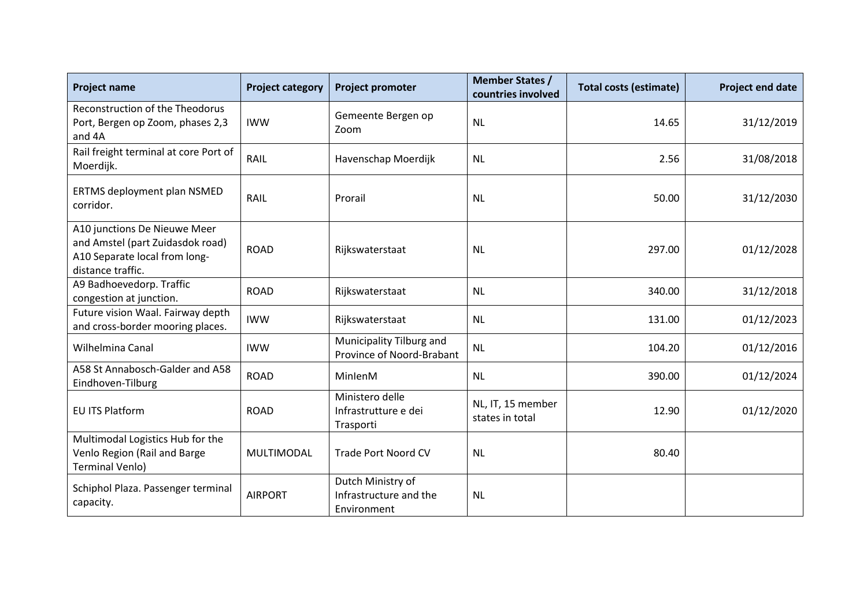| <b>Project name</b>                                                                                                    | <b>Project category</b> | <b>Project promoter</b>                                    | <b>Member States /</b><br>countries involved | <b>Total costs (estimate)</b> | <b>Project end date</b> |
|------------------------------------------------------------------------------------------------------------------------|-------------------------|------------------------------------------------------------|----------------------------------------------|-------------------------------|-------------------------|
| Reconstruction of the Theodorus<br>Port, Bergen op Zoom, phases 2,3<br>and 4A                                          | <b>IWW</b>              | Gemeente Bergen op<br>Zoom                                 | <b>NL</b>                                    | 14.65                         | 31/12/2019              |
| Rail freight terminal at core Port of<br>Moerdijk.                                                                     | RAIL                    | Havenschap Moerdijk                                        | <b>NL</b>                                    | 2.56                          | 31/08/2018              |
| ERTMS deployment plan NSMED<br>corridor.                                                                               | RAIL                    | Prorail                                                    | <b>NL</b>                                    | 50.00                         | 31/12/2030              |
| A10 junctions De Nieuwe Meer<br>and Amstel (part Zuidasdok road)<br>A10 Separate local from long-<br>distance traffic. | <b>ROAD</b>             | Rijkswaterstaat                                            | <b>NL</b>                                    | 297.00                        | 01/12/2028              |
| A9 Badhoevedorp. Traffic<br>congestion at junction.                                                                    | <b>ROAD</b>             | Rijkswaterstaat                                            | <b>NL</b>                                    | 340.00                        | 31/12/2018              |
| Future vision Waal. Fairway depth<br>and cross-border mooring places.                                                  | <b>IWW</b>              | Rijkswaterstaat                                            | <b>NL</b>                                    | 131.00                        | 01/12/2023              |
| Wilhelmina Canal                                                                                                       | <b>IWW</b>              | Municipality Tilburg and<br>Province of Noord-Brabant      | <b>NL</b>                                    | 104.20                        | 01/12/2016              |
| A58 St Annabosch-Galder and A58<br>Eindhoven-Tilburg                                                                   | <b>ROAD</b>             | MinlenM                                                    | <b>NL</b>                                    | 390.00                        | 01/12/2024              |
| EU ITS Platform                                                                                                        | <b>ROAD</b>             | Ministero delle<br>Infrastrutture e dei<br>Trasporti       | NL, IT, 15 member<br>states in total         | 12.90                         | 01/12/2020              |
| Multimodal Logistics Hub for the<br>Venlo Region (Rail and Barge<br><b>Terminal Venlo)</b>                             | MULTIMODAL              | <b>Trade Port Noord CV</b>                                 | <b>NL</b>                                    | 80.40                         |                         |
| Schiphol Plaza. Passenger terminal<br>capacity.                                                                        | <b>AIRPORT</b>          | Dutch Ministry of<br>Infrastructure and the<br>Environment | <b>NL</b>                                    |                               |                         |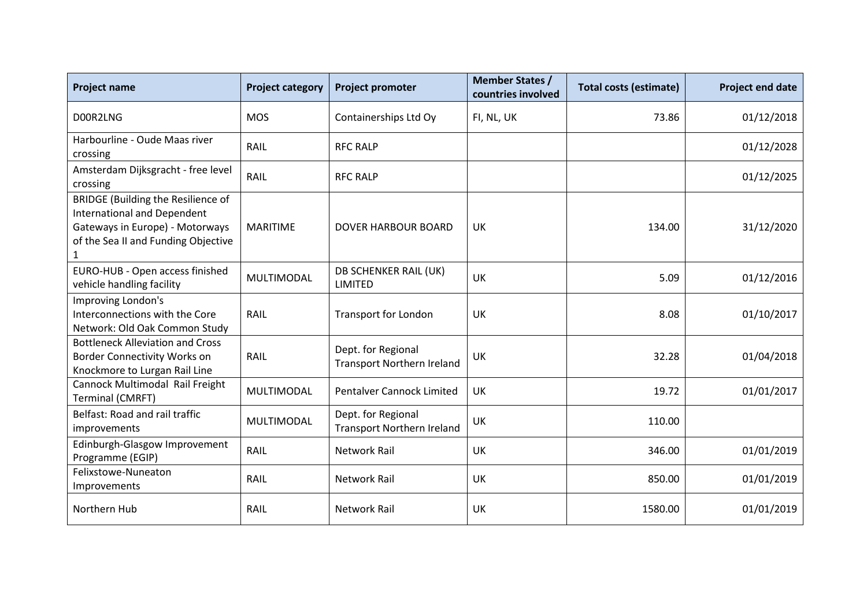| <b>Project name</b>                                                                                                                                                       | <b>Project category</b> | <b>Project promoter</b>                                 | <b>Member States /</b><br>countries involved | <b>Total costs (estimate)</b> | <b>Project end date</b> |
|---------------------------------------------------------------------------------------------------------------------------------------------------------------------------|-------------------------|---------------------------------------------------------|----------------------------------------------|-------------------------------|-------------------------|
| D00R2LNG                                                                                                                                                                  | <b>MOS</b>              | Containerships Ltd Oy                                   | FI, NL, UK                                   | 73.86                         | 01/12/2018              |
| Harbourline - Oude Maas river<br>crossing                                                                                                                                 | RAIL                    | <b>RFC RALP</b>                                         |                                              |                               | 01/12/2028              |
| Amsterdam Dijksgracht - free level<br>crossing                                                                                                                            | RAIL                    | <b>RFC RALP</b>                                         |                                              |                               | 01/12/2025              |
| <b>BRIDGE (Building the Resilience of</b><br><b>International and Dependent</b><br>Gateways in Europe) - Motorways<br>of the Sea II and Funding Objective<br>$\mathbf{1}$ | <b>MARITIME</b>         | <b>DOVER HARBOUR BOARD</b>                              | UK                                           | 134.00                        | 31/12/2020              |
| EURO-HUB - Open access finished<br>vehicle handling facility                                                                                                              | MULTIMODAL              | DB SCHENKER RAIL (UK)<br>LIMITED                        | UK                                           | 5.09                          | 01/12/2016              |
| Improving London's<br>Interconnections with the Core<br>Network: Old Oak Common Study                                                                                     | RAIL                    | <b>Transport for London</b>                             | UK                                           | 8.08                          | 01/10/2017              |
| <b>Bottleneck Alleviation and Cross</b><br><b>Border Connectivity Works on</b><br>Knockmore to Lurgan Rail Line                                                           | RAIL                    | Dept. for Regional<br><b>Transport Northern Ireland</b> | UK                                           | 32.28                         | 01/04/2018              |
| Cannock Multimodal Rail Freight<br><b>Terminal (CMRFT)</b>                                                                                                                | MULTIMODAL              | <b>Pentalver Cannock Limited</b>                        | UK                                           | 19.72                         | 01/01/2017              |
| Belfast: Road and rail traffic<br>improvements                                                                                                                            | MULTIMODAL              | Dept. for Regional<br><b>Transport Northern Ireland</b> | UK                                           | 110.00                        |                         |
| Edinburgh-Glasgow Improvement<br>Programme (EGIP)                                                                                                                         | RAIL                    | <b>Network Rail</b>                                     | UK                                           | 346.00                        | 01/01/2019              |
| Felixstowe-Nuneaton<br>Improvements                                                                                                                                       | RAIL                    | <b>Network Rail</b>                                     | UK                                           | 850.00                        | 01/01/2019              |
| Northern Hub                                                                                                                                                              | RAIL                    | <b>Network Rail</b>                                     | UK                                           | 1580.00                       | 01/01/2019              |